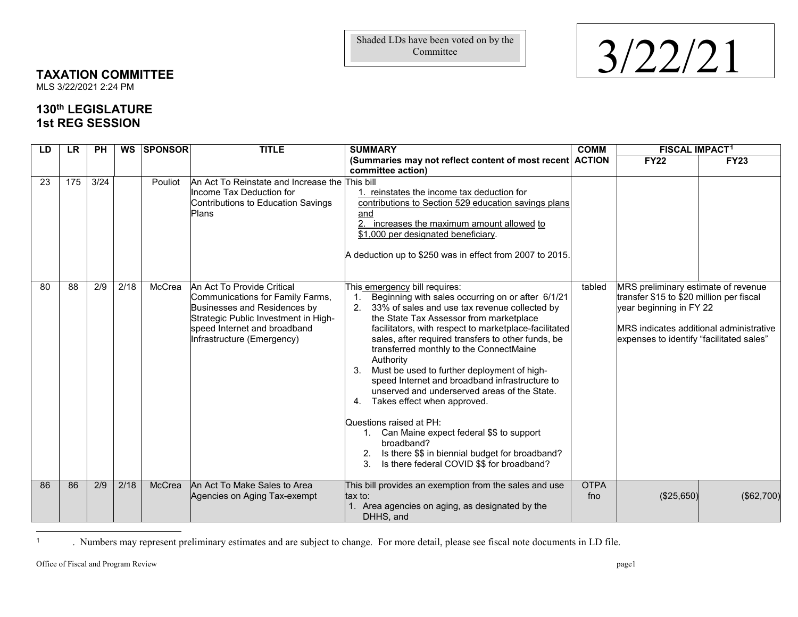<span id="page-0-0"></span>Committee

## Shaded LDs have been voted on by the<br>Committee  $3/22/21$

## **TAXATION COMMITTEE**

MLS 3/22/2021 2:24 PM

## **130th LEGISLATURE 1st REG SESSION**

| LD | <b>LR</b> | <b>PH</b> |      | <b>WS SPONSOR</b> | <b>TITLE</b>                                                                                                                                                                                         | <b>SUMMARY</b>                                                                                                                                                                                                                                                                                                                                                                                                                                                                                                                                                                                                                                                                                                                                            | <b>COMM</b>        | <b>FISCAL IMPACT1</b>                                                                                                                                                                                    |             |
|----|-----------|-----------|------|-------------------|------------------------------------------------------------------------------------------------------------------------------------------------------------------------------------------------------|-----------------------------------------------------------------------------------------------------------------------------------------------------------------------------------------------------------------------------------------------------------------------------------------------------------------------------------------------------------------------------------------------------------------------------------------------------------------------------------------------------------------------------------------------------------------------------------------------------------------------------------------------------------------------------------------------------------------------------------------------------------|--------------------|----------------------------------------------------------------------------------------------------------------------------------------------------------------------------------------------------------|-------------|
|    |           |           |      |                   |                                                                                                                                                                                                      | (Summaries may not reflect content of most recent ACTION<br>committee action)                                                                                                                                                                                                                                                                                                                                                                                                                                                                                                                                                                                                                                                                             |                    | <b>FY22</b>                                                                                                                                                                                              | <b>FY23</b> |
| 23 | 175       | 3/24      |      | Pouliot           | An Act To Reinstate and Increase the This bill<br>Income Tax Deduction for<br>Contributions to Education Savings<br>Plans                                                                            | 1. reinstates the income tax deduction for<br>contributions to Section 529 education savings plans<br>and<br>increases the maximum amount allowed to<br>\$1,000 per designated beneficiary.<br>A deduction up to \$250 was in effect from 2007 to 2015.                                                                                                                                                                                                                                                                                                                                                                                                                                                                                                   |                    |                                                                                                                                                                                                          |             |
| 80 | 88        | 2/9       | 2/18 | McCrea            | An Act To Provide Critical<br>Communications for Family Farms,<br>Businesses and Residences by<br>Strategic Public Investment in High-<br>speed Internet and broadband<br>Infrastructure (Emergency) | This emergency bill requires:<br>Beginning with sales occurring on or after 6/1/21<br>2.<br>33% of sales and use tax revenue collected by<br>the State Tax Assessor from marketplace<br>facilitators, with respect to marketplace-facilitated<br>sales, after required transfers to other funds, be<br>transferred monthly to the ConnectMaine<br>Authority<br>Must be used to further deployment of high-<br>3.<br>speed Internet and broadband infrastructure to<br>unserved and underserved areas of the State.<br>4.<br>Takes effect when approved.<br>Questions raised at PH:<br>1. Can Maine expect federal \$\$ to support<br>broadband?<br>2. Is there \$\$ in biennial budget for broadband?<br>Is there federal COVID \$\$ for broadband?<br>3. | tabled             | MRS preliminary estimate of revenue<br>transfer \$15 to \$20 million per fiscal<br>year beginning in FY 22<br><b>MRS</b> indicates additional administrative<br>expenses to identify "facilitated sales" |             |
| 86 | 86        | 2/9       | 2/18 | McCrea            | An Act To Make Sales to Area<br>Agencies on Aging Tax-exempt                                                                                                                                         | This bill provides an exemption from the sales and use<br>tax to:<br>1. Area agencies on aging, as designated by the<br>DHHS, and                                                                                                                                                                                                                                                                                                                                                                                                                                                                                                                                                                                                                         | <b>OTPA</b><br>fno | (\$25,650)                                                                                                                                                                                               | (\$62,700)  |

 $\overline{1}$ <sup>1</sup> . Numbers may represent preliminary estimates and are subject to change. For more detail, please see fiscal note documents in LD file.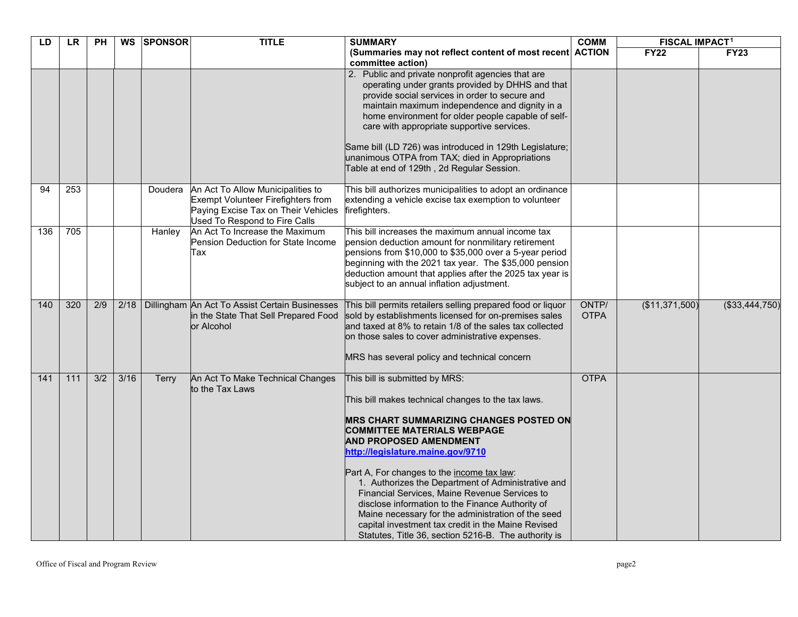| LD  | <b>LR</b> | <b>PH</b> |                | WS SPONSOR   | <b>TITLE</b>                                                                                                                                    | <b>SUMMARY</b>                                                                                                                                                                                                                                                                                                                                                                                                                                                                                                                                                                                                                  | <b>COMM</b>          | <b>FISCAL IMPACT1</b> |                |
|-----|-----------|-----------|----------------|--------------|-------------------------------------------------------------------------------------------------------------------------------------------------|---------------------------------------------------------------------------------------------------------------------------------------------------------------------------------------------------------------------------------------------------------------------------------------------------------------------------------------------------------------------------------------------------------------------------------------------------------------------------------------------------------------------------------------------------------------------------------------------------------------------------------|----------------------|-----------------------|----------------|
|     |           |           |                |              |                                                                                                                                                 | (Summaries may not reflect content of most recent ACTION<br>committee action)                                                                                                                                                                                                                                                                                                                                                                                                                                                                                                                                                   |                      | <b>FY22</b>           | <b>FY23</b>    |
|     |           |           |                |              |                                                                                                                                                 | 2. Public and private nonprofit agencies that are<br>operating under grants provided by DHHS and that<br>provide social services in order to secure and<br>maintain maximum independence and dignity in a<br>home environment for older people capable of self-<br>care with appropriate supportive services.<br>Same bill (LD 726) was introduced in 129th Legislature;<br>unanimous OTPA from TAX; died in Appropriations<br>Table at end of 129th, 2d Regular Session.                                                                                                                                                       |                      |                       |                |
| 94  | 253       |           |                | Doudera      | An Act To Allow Municipalities to<br>Exempt Volunteer Firefighters from<br>Paying Excise Tax on Their Vehicles<br>Used To Respond to Fire Calls | This bill authorizes municipalities to adopt an ordinance<br>extending a vehicle excise tax exemption to volunteer<br>firefighters.                                                                                                                                                                                                                                                                                                                                                                                                                                                                                             |                      |                       |                |
| 136 | 705       |           |                | Hanley       | An Act To Increase the Maximum<br>Pension Deduction for State Income<br>Tax                                                                     | This bill increases the maximum annual income tax<br>pension deduction amount for nonmilitary retirement<br>pensions from \$10,000 to \$35,000 over a 5-year period<br>beginning with the 2021 tax year. The \$35,000 pension<br>deduction amount that applies after the 2025 tax year is<br>subject to an annual inflation adjustment.                                                                                                                                                                                                                                                                                         |                      |                       |                |
| 140 | 320       | 2/9       |                |              | 2/18   Dillingham An Act To Assist Certain Businesses<br>in the State That Sell Prepared Food<br>or Alcohol                                     | This bill permits retailers selling prepared food or liquor<br>sold by establishments licensed for on-premises sales<br>and taxed at 8% to retain 1/8 of the sales tax collected<br>on those sales to cover administrative expenses.<br>MRS has several policy and technical concern                                                                                                                                                                                                                                                                                                                                            | ONTP/<br><b>OTPA</b> | (\$11,371,500)        | (\$33,444,750) |
| 141 | 111       | 3/2       | $\frac{3}{16}$ | <b>Terry</b> | An Act To Make Technical Changes<br>to the Tax Laws                                                                                             | This bill is submitted by MRS:<br>This bill makes technical changes to the tax laws.<br><b>MRS CHART SUMMARIZING CHANGES POSTED ON</b><br><b>COMMITTEE MATERIALS WEBPAGE</b><br><b>AND PROPOSED AMENDMENT</b><br>http://legislature.maine.gov/9710<br>Part A, For changes to the income tax law:<br>1. Authorizes the Department of Administrative and<br>Financial Services, Maine Revenue Services to<br>disclose information to the Finance Authority of<br>Maine necessary for the administration of the seed<br>capital investment tax credit in the Maine Revised<br>Statutes, Title 36, section 5216-B. The authority is | <b>OTPA</b>          |                       |                |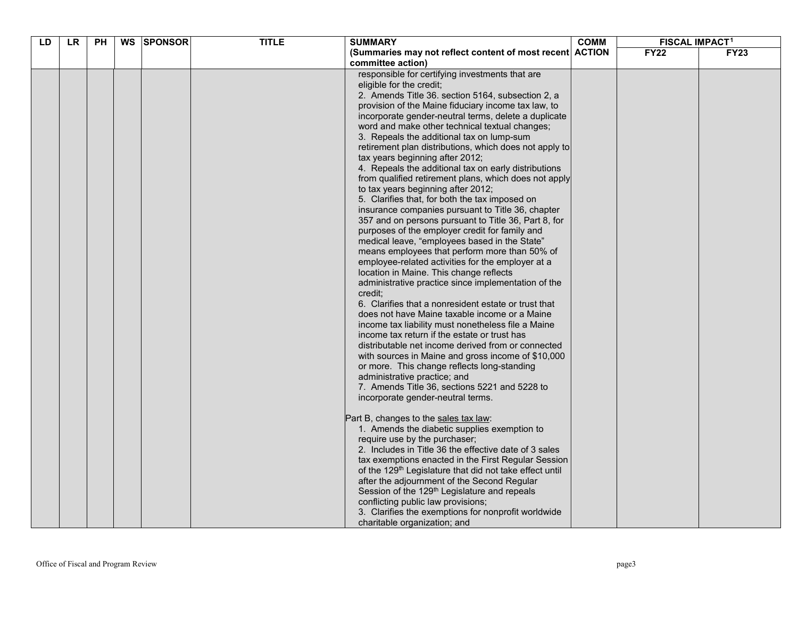| LD | <b>LR</b> | <b>PH</b> | WS SPONSOR | <b>TITLE</b> | <b>SUMMARY</b>                                                                              | <b>COMM</b> | <b>FISCAL IMPACT1</b> |             |
|----|-----------|-----------|------------|--------------|---------------------------------------------------------------------------------------------|-------------|-----------------------|-------------|
|    |           |           |            |              | (Summaries may not reflect content of most recent ACTION                                    |             | <b>FY22</b>           | <b>FY23</b> |
|    |           |           |            |              | committee action)                                                                           |             |                       |             |
|    |           |           |            |              | responsible for certifying investments that are                                             |             |                       |             |
|    |           |           |            |              | eligible for the credit;                                                                    |             |                       |             |
|    |           |           |            |              | 2. Amends Title 36. section 5164, subsection 2, a                                           |             |                       |             |
|    |           |           |            |              | provision of the Maine fiduciary income tax law, to                                         |             |                       |             |
|    |           |           |            |              | incorporate gender-neutral terms, delete a duplicate                                        |             |                       |             |
|    |           |           |            |              | word and make other technical textual changes;<br>3. Repeals the additional tax on lump-sum |             |                       |             |
|    |           |           |            |              | retirement plan distributions, which does not apply to                                      |             |                       |             |
|    |           |           |            |              | tax years beginning after 2012;                                                             |             |                       |             |
|    |           |           |            |              | 4. Repeals the additional tax on early distributions                                        |             |                       |             |
|    |           |           |            |              | from qualified retirement plans, which does not apply                                       |             |                       |             |
|    |           |           |            |              | to tax years beginning after 2012;                                                          |             |                       |             |
|    |           |           |            |              | 5. Clarifies that, for both the tax imposed on                                              |             |                       |             |
|    |           |           |            |              | insurance companies pursuant to Title 36, chapter                                           |             |                       |             |
|    |           |           |            |              | 357 and on persons pursuant to Title 36, Part 8, for                                        |             |                       |             |
|    |           |           |            |              | purposes of the employer credit for family and                                              |             |                       |             |
|    |           |           |            |              | medical leave, "employees based in the State"                                               |             |                       |             |
|    |           |           |            |              | means employees that perform more than 50% of                                               |             |                       |             |
|    |           |           |            |              | employee-related activities for the employer at a                                           |             |                       |             |
|    |           |           |            |              | location in Maine. This change reflects                                                     |             |                       |             |
|    |           |           |            |              | administrative practice since implementation of the                                         |             |                       |             |
|    |           |           |            |              | credit:<br>6. Clarifies that a nonresident estate or trust that                             |             |                       |             |
|    |           |           |            |              | does not have Maine taxable income or a Maine                                               |             |                       |             |
|    |           |           |            |              | income tax liability must nonetheless file a Maine                                          |             |                       |             |
|    |           |           |            |              | income tax return if the estate or trust has                                                |             |                       |             |
|    |           |           |            |              | distributable net income derived from or connected                                          |             |                       |             |
|    |           |           |            |              | with sources in Maine and gross income of \$10,000                                          |             |                       |             |
|    |           |           |            |              | or more. This change reflects long-standing                                                 |             |                       |             |
|    |           |           |            |              | administrative practice; and                                                                |             |                       |             |
|    |           |           |            |              | 7. Amends Title 36, sections 5221 and 5228 to                                               |             |                       |             |
|    |           |           |            |              | incorporate gender-neutral terms.                                                           |             |                       |             |
|    |           |           |            |              | Part B, changes to the sales tax law:                                                       |             |                       |             |
|    |           |           |            |              | 1. Amends the diabetic supplies exemption to                                                |             |                       |             |
|    |           |           |            |              | require use by the purchaser;                                                               |             |                       |             |
|    |           |           |            |              | 2. Includes in Title 36 the effective date of 3 sales                                       |             |                       |             |
|    |           |           |            |              | tax exemptions enacted in the First Regular Session                                         |             |                       |             |
|    |           |           |            |              | of the 129 <sup>th</sup> Legislature that did not take effect until                         |             |                       |             |
|    |           |           |            |              | after the adjournment of the Second Regular                                                 |             |                       |             |
|    |           |           |            |              | Session of the 129 <sup>th</sup> Legislature and repeals                                    |             |                       |             |
|    |           |           |            |              | conflicting public law provisions;                                                          |             |                       |             |
|    |           |           |            |              | 3. Clarifies the exemptions for nonprofit worldwide                                         |             |                       |             |
|    |           |           |            |              | charitable organization; and                                                                |             |                       |             |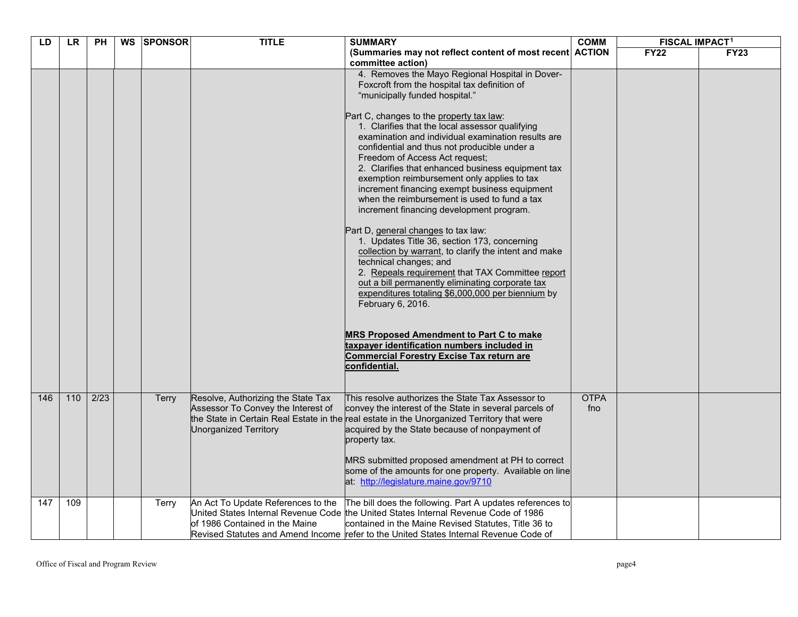| LD  | <b>LR</b>         | <b>PH</b> | WS SPONSOR   | <b>TITLE</b>                                                                                             | <b>SUMMARY</b>                                                                                                                                                                                                                                                                                                                                                                                                                                                                                                                                                                                                                                                                                                                                                                                                                                                                                                                                                                                                                                                                                                                                        | <b>COMM</b>        | <b>FISCAL IMPACT1</b> |             |
|-----|-------------------|-----------|--------------|----------------------------------------------------------------------------------------------------------|-------------------------------------------------------------------------------------------------------------------------------------------------------------------------------------------------------------------------------------------------------------------------------------------------------------------------------------------------------------------------------------------------------------------------------------------------------------------------------------------------------------------------------------------------------------------------------------------------------------------------------------------------------------------------------------------------------------------------------------------------------------------------------------------------------------------------------------------------------------------------------------------------------------------------------------------------------------------------------------------------------------------------------------------------------------------------------------------------------------------------------------------------------|--------------------|-----------------------|-------------|
|     |                   |           |              |                                                                                                          | (Summaries may not reflect content of most recent ACTION<br>committee action)                                                                                                                                                                                                                                                                                                                                                                                                                                                                                                                                                                                                                                                                                                                                                                                                                                                                                                                                                                                                                                                                         |                    | <b>FY22</b>           | <b>FY23</b> |
|     |                   |           |              |                                                                                                          | 4. Removes the Mayo Regional Hospital in Dover-<br>Foxcroft from the hospital tax definition of<br>"municipally funded hospital."<br>Part C, changes to the property tax law:<br>1. Clarifies that the local assessor qualifying<br>examination and individual examination results are<br>confidential and thus not producible under a<br>Freedom of Access Act request;<br>2. Clarifies that enhanced business equipment tax<br>exemption reimbursement only applies to tax<br>increment financing exempt business equipment<br>when the reimbursement is used to fund a tax<br>increment financing development program.<br>Part D, general changes to tax law:<br>1. Updates Title 36, section 173, concerning<br>collection by warrant, to clarify the intent and make<br>technical changes; and<br>2. Repeals requirement that TAX Committee report<br>out a bill permanently eliminating corporate tax<br>expenditures totaling \$6,000,000 per biennium by<br>February 6, 2016.<br><b>MRS Proposed Amendment to Part C to make</b><br>taxpayer identification numbers included in<br>Commercial Forestry Excise Tax return are<br>confidential. |                    |                       |             |
| 146 | $\frac{110}{110}$ | 2/23      | Terry        | Resolve, Authorizing the State Tax<br>Assessor To Convey the Interest of<br><b>Unorganized Territory</b> | This resolve authorizes the State Tax Assessor to<br>convey the interest of the State in several parcels of<br>the State in Certain Real Estate in the real estate in the Unorganized Territory that were<br>acquired by the State because of nonpayment of<br>property tax.<br>MRS submitted proposed amendment at PH to correct<br>some of the amounts for one property. Available on line<br>at: http://legislature.maine.gov/9710                                                                                                                                                                                                                                                                                                                                                                                                                                                                                                                                                                                                                                                                                                                 | <b>OTPA</b><br>fno |                       |             |
| 147 | 109               |           | <b>Terry</b> | An Act To Update References to the<br>of 1986 Contained in the Maine                                     | The bill does the following. Part A updates references to<br>United States Internal Revenue Code the United States Internal Revenue Code of 1986<br>contained in the Maine Revised Statutes, Title 36 to<br>Revised Statutes and Amend Income refer to the United States Internal Revenue Code of                                                                                                                                                                                                                                                                                                                                                                                                                                                                                                                                                                                                                                                                                                                                                                                                                                                     |                    |                       |             |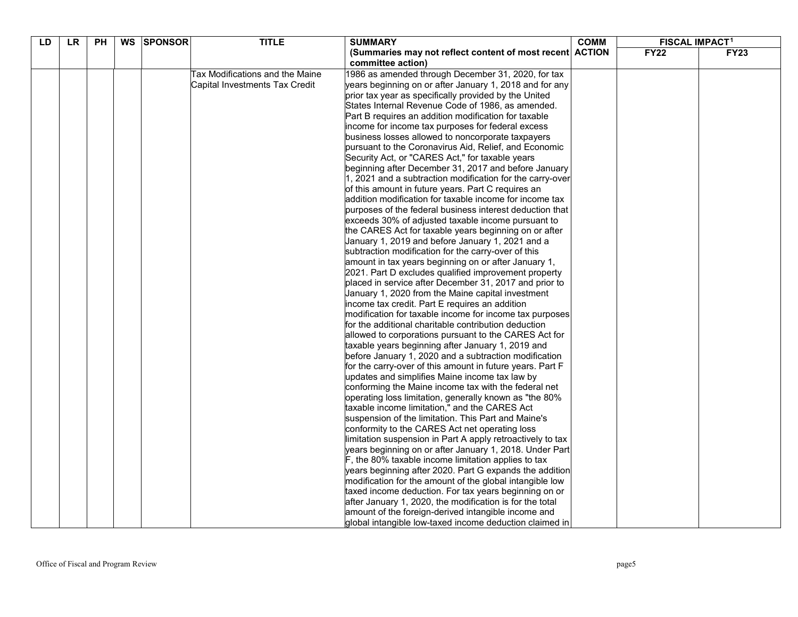| LD | <b>LR</b> | PH | WS SPONSOR | <b>TITLE</b>                    | <b>SUMMARY</b>                                                                                            | <b>COMM</b> | <b>FISCAL IMPACT1</b> |             |
|----|-----------|----|------------|---------------------------------|-----------------------------------------------------------------------------------------------------------|-------------|-----------------------|-------------|
|    |           |    |            |                                 | (Summaries may not reflect content of most recent ACTION                                                  |             | <b>FY22</b>           | <b>FY23</b> |
|    |           |    |            |                                 | committee action)                                                                                         |             |                       |             |
|    |           |    |            | Tax Modifications and the Maine | 1986 as amended through December 31, 2020, for tax                                                        |             |                       |             |
|    |           |    |            | Capital Investments Tax Credit  | years beginning on or after January 1, 2018 and for any                                                   |             |                       |             |
|    |           |    |            |                                 | prior tax year as specifically provided by the United                                                     |             |                       |             |
|    |           |    |            |                                 | States Internal Revenue Code of 1986, as amended.                                                         |             |                       |             |
|    |           |    |            |                                 | Part B requires an addition modification for taxable                                                      |             |                       |             |
|    |           |    |            |                                 | income for income tax purposes for federal excess                                                         |             |                       |             |
|    |           |    |            |                                 | business losses allowed to noncorporate taxpayers                                                         |             |                       |             |
|    |           |    |            |                                 | pursuant to the Coronavirus Aid, Relief, and Economic                                                     |             |                       |             |
|    |           |    |            |                                 | Security Act, or "CARES Act," for taxable years                                                           |             |                       |             |
|    |           |    |            |                                 | beginning after December 31, 2017 and before January                                                      |             |                       |             |
|    |           |    |            |                                 | 1, 2021 and a subtraction modification for the carry-over                                                 |             |                       |             |
|    |           |    |            |                                 | of this amount in future years. Part C requires an                                                        |             |                       |             |
|    |           |    |            |                                 | addition modification for taxable income for income tax                                                   |             |                       |             |
|    |           |    |            |                                 | purposes of the federal business interest deduction that                                                  |             |                       |             |
|    |           |    |            |                                 | exceeds 30% of adjusted taxable income pursuant to                                                        |             |                       |             |
|    |           |    |            |                                 | the CARES Act for taxable years beginning on or after<br>January 1, 2019 and before January 1, 2021 and a |             |                       |             |
|    |           |    |            |                                 | subtraction modification for the carry-over of this                                                       |             |                       |             |
|    |           |    |            |                                 | amount in tax years beginning on or after January 1,                                                      |             |                       |             |
|    |           |    |            |                                 | 2021. Part D excludes qualified improvement property                                                      |             |                       |             |
|    |           |    |            |                                 | placed in service after December 31, 2017 and prior to                                                    |             |                       |             |
|    |           |    |            |                                 | January 1, 2020 from the Maine capital investment                                                         |             |                       |             |
|    |           |    |            |                                 | income tax credit. Part E requires an addition                                                            |             |                       |             |
|    |           |    |            |                                 | modification for taxable income for income tax purposes                                                   |             |                       |             |
|    |           |    |            |                                 | for the additional charitable contribution deduction                                                      |             |                       |             |
|    |           |    |            |                                 | allowed to corporations pursuant to the CARES Act for                                                     |             |                       |             |
|    |           |    |            |                                 | taxable years beginning after January 1, 2019 and                                                         |             |                       |             |
|    |           |    |            |                                 | before January 1, 2020 and a subtraction modification                                                     |             |                       |             |
|    |           |    |            |                                 | for the carry-over of this amount in future years. Part F                                                 |             |                       |             |
|    |           |    |            |                                 | updates and simplifies Maine income tax law by                                                            |             |                       |             |
|    |           |    |            |                                 | conforming the Maine income tax with the federal net                                                      |             |                       |             |
|    |           |    |            |                                 | operating loss limitation, generally known as "the 80%                                                    |             |                       |             |
|    |           |    |            |                                 | taxable income limitation," and the CARES Act                                                             |             |                       |             |
|    |           |    |            |                                 | suspension of the limitation. This Part and Maine's                                                       |             |                       |             |
|    |           |    |            |                                 | conformity to the CARES Act net operating loss                                                            |             |                       |             |
|    |           |    |            |                                 | limitation suspension in Part A apply retroactively to tax                                                |             |                       |             |
|    |           |    |            |                                 | years beginning on or after January 1, 2018. Under Part                                                   |             |                       |             |
|    |           |    |            |                                 | F, the 80% taxable income limitation applies to tax                                                       |             |                       |             |
|    |           |    |            |                                 | years beginning after 2020. Part G expands the addition                                                   |             |                       |             |
|    |           |    |            |                                 | modification for the amount of the global intangible low                                                  |             |                       |             |
|    |           |    |            |                                 | taxed income deduction. For tax years beginning on or                                                     |             |                       |             |
|    |           |    |            |                                 | after January 1, 2020, the modification is for the total                                                  |             |                       |             |
|    |           |    |            |                                 | amount of the foreign-derived intangible income and                                                       |             |                       |             |
|    |           |    |            |                                 | global intangible low-taxed income deduction claimed in                                                   |             |                       |             |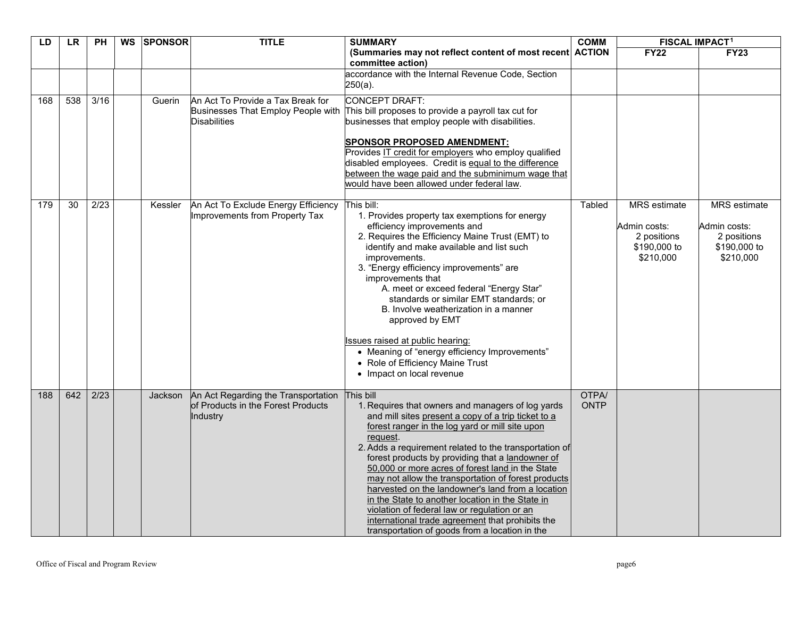| LD  | <b>LR</b>       | <b>PH</b> | WS | <b>SPONSOR</b> | <b>TITLE</b>                                                                                   | <b>SUMMARY</b>                                                                                                                                                                                                                                                                                                                                                                                                                                                                                                                                                                                                                                                               | <b>COMM</b>          | <b>FISCAL IMPACT1</b>                                                           |                                                                                 |
|-----|-----------------|-----------|----|----------------|------------------------------------------------------------------------------------------------|------------------------------------------------------------------------------------------------------------------------------------------------------------------------------------------------------------------------------------------------------------------------------------------------------------------------------------------------------------------------------------------------------------------------------------------------------------------------------------------------------------------------------------------------------------------------------------------------------------------------------------------------------------------------------|----------------------|---------------------------------------------------------------------------------|---------------------------------------------------------------------------------|
|     |                 |           |    |                |                                                                                                | (Summaries may not reflect content of most recent ACTION<br>committee action)                                                                                                                                                                                                                                                                                                                                                                                                                                                                                                                                                                                                |                      | <b>FY22</b>                                                                     | <b>FY23</b>                                                                     |
|     |                 |           |    |                |                                                                                                | accordance with the Internal Revenue Code, Section<br>$250(a)$ .                                                                                                                                                                                                                                                                                                                                                                                                                                                                                                                                                                                                             |                      |                                                                                 |                                                                                 |
| 168 | 538             | 3/16      |    | Guerin         | An Act To Provide a Tax Break for<br>Businesses That Employ People with<br><b>Disabilities</b> | <b>CONCEPT DRAFT:</b><br>This bill proposes to provide a payroll tax cut for<br>businesses that employ people with disabilities.<br><b>SPONSOR PROPOSED AMENDMENT:</b><br>Provides IT credit for employers who employ qualified<br>disabled employees. Credit is equal to the difference<br>between the wage paid and the subminimum wage that<br>would have been allowed under federal law.                                                                                                                                                                                                                                                                                 |                      |                                                                                 |                                                                                 |
| 179 | $\overline{30}$ | 2/23      |    | Kessler        | An Act To Exclude Energy Efficiency<br>Improvements from Property Tax                          | This bill:<br>1. Provides property tax exemptions for energy<br>efficiency improvements and<br>2. Requires the Efficiency Maine Trust (EMT) to<br>identify and make available and list such<br>improvements.<br>3. "Energy efficiency improvements" are<br>improvements that<br>A. meet or exceed federal "Energy Star"<br>standards or similar EMT standards; or<br>B. Involve weatherization in a manner<br>approved by EMT<br><b>Issues raised at public hearing:</b><br>• Meaning of "energy efficiency Improvements"<br>• Role of Efficiency Maine Trust<br>• Impact on local revenue                                                                                   | Tabled               | <b>MRS</b> estimate<br>Admin costs:<br>2 positions<br>\$190,000 to<br>\$210,000 | <b>MRS</b> estimate<br>Admin costs:<br>2 positions<br>\$190,000 to<br>\$210,000 |
| 188 | 642             | 2/23      |    | Jackson        | An Act Regarding the Transportation<br>of Products in the Forest Products<br>Industry          | This bill<br>1. Requires that owners and managers of log yards<br>and mill sites present a copy of a trip ticket to a<br>forest ranger in the log yard or mill site upon<br>request.<br>2. Adds a requirement related to the transportation of<br>forest products by providing that a landowner of<br>50,000 or more acres of forest land in the State<br>may not allow the transportation of forest products<br>harvested on the landowner's land from a location<br>in the State to another location in the State in<br>violation of federal law or regulation or an<br>international trade agreement that prohibits the<br>transportation of goods from a location in the | OTPA/<br><b>ONTP</b> |                                                                                 |                                                                                 |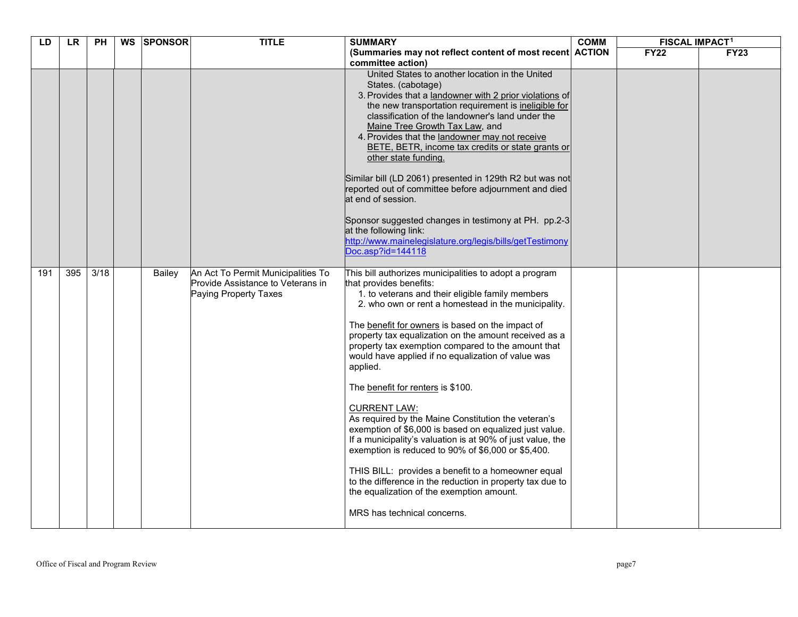| LD  | <b>LR</b> | <b>PH</b> | WS | <b>ISPONSOR</b> | <b>TITLE</b>                                                                                     | <b>SUMMARY</b>                                                                                                                                                                                                                                                                                                                                                                                                                                                                                                                                                                                                                                                                                                                                                                                                                                                                                                                    | <b>COMM</b> | <b>FISCAL IMPACT1</b> |             |
|-----|-----------|-----------|----|-----------------|--------------------------------------------------------------------------------------------------|-----------------------------------------------------------------------------------------------------------------------------------------------------------------------------------------------------------------------------------------------------------------------------------------------------------------------------------------------------------------------------------------------------------------------------------------------------------------------------------------------------------------------------------------------------------------------------------------------------------------------------------------------------------------------------------------------------------------------------------------------------------------------------------------------------------------------------------------------------------------------------------------------------------------------------------|-------------|-----------------------|-------------|
|     |           |           |    |                 |                                                                                                  | (Summaries may not reflect content of most recent ACTION<br>committee action)                                                                                                                                                                                                                                                                                                                                                                                                                                                                                                                                                                                                                                                                                                                                                                                                                                                     |             | <b>FY22</b>           | <b>FY23</b> |
|     |           |           |    |                 |                                                                                                  | United States to another location in the United<br>States. (cabotage)<br>3. Provides that a landowner with 2 prior violations of<br>the new transportation requirement is ineligible for<br>classification of the landowner's land under the<br>Maine Tree Growth Tax Law, and<br>4. Provides that the landowner may not receive<br>BETE, BETR, income tax credits or state grants or<br>other state funding.<br>Similar bill (LD 2061) presented in 129th R2 but was not<br>reported out of committee before adjournment and died<br>at end of session.<br>Sponsor suggested changes in testimony at PH. pp.2-3<br>at the following link:<br>http://www.mainelegislature.org/legis/bills/getTestimony<br>Doc.asp?id=144118                                                                                                                                                                                                       |             |                       |             |
| 191 | 395       | 3/18      |    | Bailey          | An Act To Permit Municipalities To<br>Provide Assistance to Veterans in<br>Paying Property Taxes | This bill authorizes municipalities to adopt a program<br>that provides benefits:<br>1. to veterans and their eligible family members<br>2. who own or rent a homestead in the municipality.<br>The benefit for owners is based on the impact of<br>property tax equalization on the amount received as a<br>property tax exemption compared to the amount that<br>would have applied if no equalization of value was<br>applied.<br>The benefit for renters is \$100.<br><b>CURRENT LAW:</b><br>As required by the Maine Constitution the veteran's<br>exemption of \$6,000 is based on equalized just value.<br>If a municipality's valuation is at 90% of just value, the<br>exemption is reduced to 90% of \$6,000 or \$5,400.<br>THIS BILL: provides a benefit to a homeowner equal<br>to the difference in the reduction in property tax due to<br>the equalization of the exemption amount.<br>MRS has technical concerns. |             |                       |             |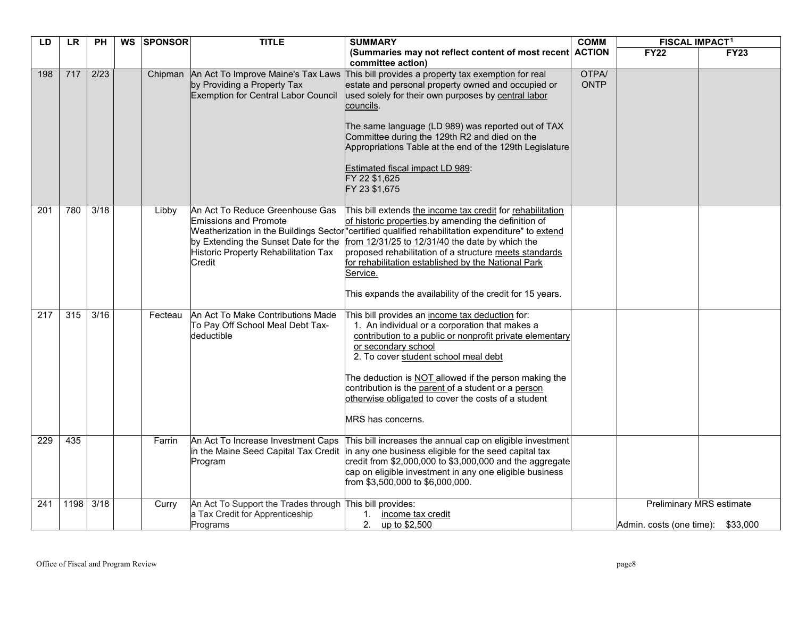| LD  | <b>LR</b> | PН                | WS SPONSOR | <b>TITLE</b>                                                                                                                                              | <b>SUMMARY</b>                                                                                                                                                                                                                                                                                                                                                                                                                                                       | <b>COMM</b>                 | <b>FISCAL IMPACT1</b>    |                                      |
|-----|-----------|-------------------|------------|-----------------------------------------------------------------------------------------------------------------------------------------------------------|----------------------------------------------------------------------------------------------------------------------------------------------------------------------------------------------------------------------------------------------------------------------------------------------------------------------------------------------------------------------------------------------------------------------------------------------------------------------|-----------------------------|--------------------------|--------------------------------------|
|     |           |                   |            |                                                                                                                                                           | (Summaries may not reflect content of most recent ACTION<br>committee action)                                                                                                                                                                                                                                                                                                                                                                                        |                             | <b>FY22</b>              | <b>FY23</b>                          |
| 198 | 717       | 2/23              |            | Chipman An Act To Improve Maine's Tax Laws<br>by Providing a Property Tax<br><b>Exemption for Central Labor Council</b>                                   | This bill provides a property tax exemption for real<br>estate and personal property owned and occupied or<br>used solely for their own purposes by central labor<br>councils.<br>The same language (LD 989) was reported out of TAX<br>Committee during the 129th R2 and died on the<br>Appropriations Table at the end of the 129th Legislature<br>Estimated fiscal impact LD 989:<br>FY 22 \$1,625<br>FY 23 \$1,675                                               | <b>OTPA/</b><br><b>ONTP</b> |                          |                                      |
| 201 | 780       | $\overline{3/18}$ | Libby      | An Act To Reduce Greenhouse Gas<br><b>Emissions and Promote</b><br>by Extending the Sunset Date for the<br>Historic Property Rehabilitation Tax<br>Credit | This bill extends the income tax credit for rehabilitation<br>of historic properties by amending the definition of<br>Weatherization in the Buildings Sector "certified qualified rehabilitation expenditure" to extend<br>from 12/31/25 to 12/31/40 the date by which the<br>proposed rehabilitation of a structure meets standards<br>for rehabilitation established by the National Park<br>Service.<br>This expands the availability of the credit for 15 years. |                             |                          |                                      |
| 217 | 315       | 3/16              | Fecteau    | An Act To Make Contributions Made<br>To Pay Off School Meal Debt Tax-<br>deductible                                                                       | This bill provides an income tax deduction for:<br>1. An individual or a corporation that makes a<br>contribution to a public or nonprofit private elementary<br>or secondary school<br>2. To cover student school meal debt<br>The deduction is NOT allowed if the person making the<br>contribution is the parent of a student or a person<br>otherwise obligated to cover the costs of a student<br><b>MRS</b> has concerns.                                      |                             |                          |                                      |
| 229 | 435       |                   | Farrin     | An Act To Increase Investment Caps<br>Program                                                                                                             | This bill increases the annual cap on eligible investment<br>in the Maine Seed Capital Tax Credit in any one business eligible for the seed capital tax<br>credit from \$2,000,000 to \$3,000,000 and the aggregate<br>cap on eligible investment in any one eligible business<br>from \$3,500,000 to \$6,000,000.                                                                                                                                                   |                             |                          |                                      |
| 241 | 1198      | 3/18              | Curry      | An Act To Support the Trades through This bill provides:<br>a Tax Credit for Apprenticeship<br>Programs                                                   | 1. income tax credit<br>2. up to \$2,500                                                                                                                                                                                                                                                                                                                                                                                                                             |                             | Admin. costs (one time): | Preliminary MRS estimate<br>\$33,000 |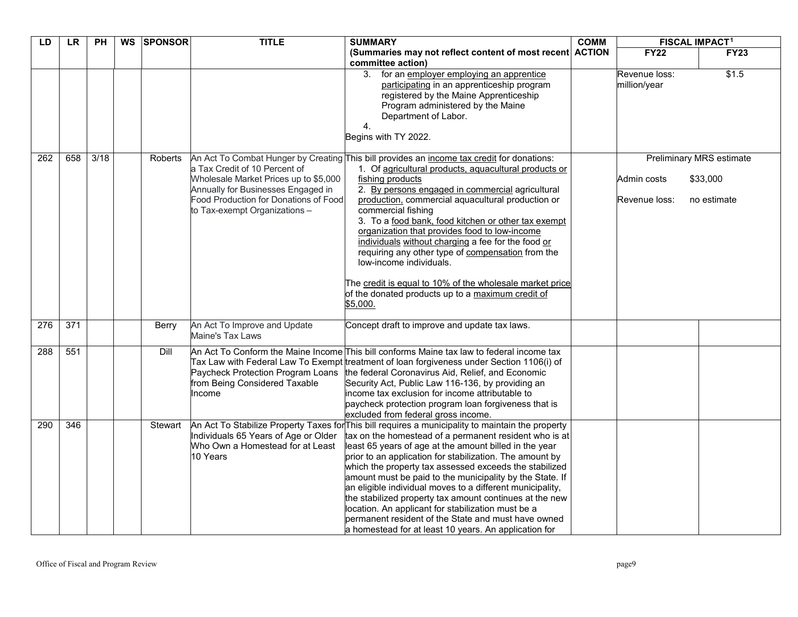| LD  | <b>LR</b>        | PH   | WS SPONSOR | <b>TITLE</b>                                                                                                                                                                           | <b>SUMMARY</b>                                                                                                                                                                                                                                                                                                                                                                                                                                                                                                                                                                                                                                                                                        | <b>COMM</b> |                               | <b>FISCAL IMPACT1</b>                                      |
|-----|------------------|------|------------|----------------------------------------------------------------------------------------------------------------------------------------------------------------------------------------|-------------------------------------------------------------------------------------------------------------------------------------------------------------------------------------------------------------------------------------------------------------------------------------------------------------------------------------------------------------------------------------------------------------------------------------------------------------------------------------------------------------------------------------------------------------------------------------------------------------------------------------------------------------------------------------------------------|-------------|-------------------------------|------------------------------------------------------------|
|     |                  |      |            |                                                                                                                                                                                        | (Summaries may not reflect content of most recent ACTION<br>committee action)                                                                                                                                                                                                                                                                                                                                                                                                                                                                                                                                                                                                                         |             | <b>FY22</b>                   | <b>FY23</b>                                                |
|     |                  |      |            |                                                                                                                                                                                        | 3. for an employer employing an apprentice<br>participating in an apprenticeship program<br>registered by the Maine Apprenticeship<br>Program administered by the Maine<br>Department of Labor.<br>4.<br>Begins with TY 2022.                                                                                                                                                                                                                                                                                                                                                                                                                                                                         |             | Revenue loss:<br>million/year | \$1.5                                                      |
| 262 | 658              | 3/18 | Roberts    | a Tax Credit of 10 Percent of<br>Wholesale Market Prices up to \$5,000<br>Annually for Businesses Engaged in<br>Food Production for Donations of Food<br>to Tax-exempt Organizations - | An Act To Combat Hunger by Creating This bill provides an income tax credit for donations:<br>1. Of agricultural products, aquacultural products or<br>fishing products<br>2. By persons engaged in commercial agricultural<br>production, commercial aquacultural production or<br>commercial fishing<br>3. To a food bank, food kitchen or other tax exempt<br>organization that provides food to low-income<br>individuals without charging a fee for the food or<br>requiring any other type of compensation from the<br>low-income individuals.<br>The credit is equal to 10% of the wholesale market price<br>of the donated products up to a maximum credit of<br>\$5,000.                     |             | Admin costs<br>Revenue loss:  | <b>Preliminary MRS estimate</b><br>\$33,000<br>no estimate |
| 276 | $\overline{371}$ |      | Berry      | An Act To Improve and Update<br>Maine's Tax Laws                                                                                                                                       | Concept draft to improve and update tax laws.                                                                                                                                                                                                                                                                                                                                                                                                                                                                                                                                                                                                                                                         |             |                               |                                                            |
| 288 | 551              |      | Dill       | Paycheck Protection Program Loans<br>from Being Considered Taxable<br>Income                                                                                                           | An Act To Conform the Maine Income This bill conforms Maine tax law to federal income tax<br>Tax Law with Federal Law To Exempt treatment of loan forgiveness under Section 1106(i) of<br>the federal Coronavirus Aid, Relief, and Economic<br>Security Act, Public Law 116-136, by providing an<br>income tax exclusion for income attributable to<br>paycheck protection program loan forgiveness that is<br>excluded from federal gross income.                                                                                                                                                                                                                                                    |             |                               |                                                            |
| 290 | 346              |      | Stewart    | Individuals 65 Years of Age or Older<br>Who Own a Homestead for at Least<br>10 Years                                                                                                   | An Act To Stabilize Property Taxes for This bill requires a municipality to maintain the property<br>tax on the homestead of a permanent resident who is at<br>least 65 years of age at the amount billed in the year<br>prior to an application for stabilization. The amount by<br>which the property tax assessed exceeds the stabilized<br>amount must be paid to the municipality by the State. If<br>an eligible individual moves to a different municipality,<br>the stabilized property tax amount continues at the new<br>location. An applicant for stabilization must be a<br>permanent resident of the State and must have owned<br>a homestead for at least 10 years. An application for |             |                               |                                                            |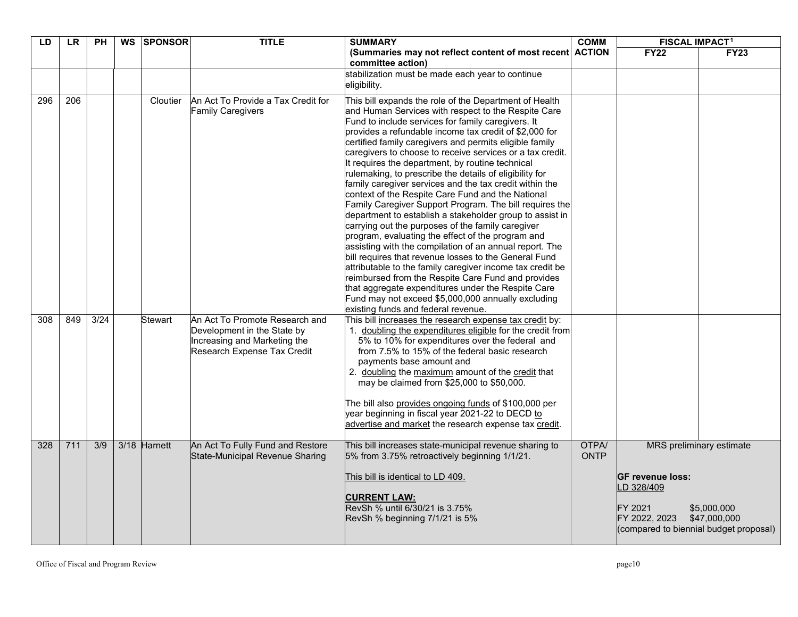| LD  | <b>LR</b> | <b>PH</b>        | <b>WS</b> | <b>SPONSOR</b> | <b>TITLE</b>                                                                                                                 | <b>SUMMARY</b>                                                                                                                                                                                                                                                                                                                                                                                                                                                                                                                                                                                                                                                                                                                                                                                                                                                                                                                                                                                                                                                                                                                                                                                                  | <b>COMM</b>          | <b>FISCAL IMPACT<sup>1</sup></b>                                                                           |                                                         |
|-----|-----------|------------------|-----------|----------------|------------------------------------------------------------------------------------------------------------------------------|-----------------------------------------------------------------------------------------------------------------------------------------------------------------------------------------------------------------------------------------------------------------------------------------------------------------------------------------------------------------------------------------------------------------------------------------------------------------------------------------------------------------------------------------------------------------------------------------------------------------------------------------------------------------------------------------------------------------------------------------------------------------------------------------------------------------------------------------------------------------------------------------------------------------------------------------------------------------------------------------------------------------------------------------------------------------------------------------------------------------------------------------------------------------------------------------------------------------|----------------------|------------------------------------------------------------------------------------------------------------|---------------------------------------------------------|
|     |           |                  |           |                |                                                                                                                              | (Summaries may not reflect content of most recent ACTION<br>committee action)                                                                                                                                                                                                                                                                                                                                                                                                                                                                                                                                                                                                                                                                                                                                                                                                                                                                                                                                                                                                                                                                                                                                   |                      | <b>FY22</b>                                                                                                | <b>FY23</b>                                             |
|     |           |                  |           |                |                                                                                                                              | stabilization must be made each year to continue<br>eligibility.                                                                                                                                                                                                                                                                                                                                                                                                                                                                                                                                                                                                                                                                                                                                                                                                                                                                                                                                                                                                                                                                                                                                                |                      |                                                                                                            |                                                         |
| 296 | 206       |                  |           | Cloutier       | An Act To Provide a Tax Credit for<br><b>Family Caregivers</b>                                                               | This bill expands the role of the Department of Health<br>and Human Services with respect to the Respite Care<br>Fund to include services for family caregivers. It<br>provides a refundable income tax credit of \$2,000 for<br>certified family caregivers and permits eligible family<br>caregivers to choose to receive services or a tax credit.<br>It requires the department, by routine technical<br>rulemaking, to prescribe the details of eligibility for<br>family caregiver services and the tax credit within the<br>context of the Respite Care Fund and the National<br>Family Caregiver Support Program. The bill requires the<br>department to establish a stakeholder group to assist in<br>carrying out the purposes of the family caregiver<br>program, evaluating the effect of the program and<br>assisting with the compilation of an annual report. The<br>bill requires that revenue losses to the General Fund<br>attributable to the family caregiver income tax credit be<br>reimbursed from the Respite Care Fund and provides<br>that aggregate expenditures under the Respite Care<br>Fund may not exceed \$5,000,000 annually excluding<br>existing funds and federal revenue. |                      |                                                                                                            |                                                         |
| 308 | 849       | 3/24             |           | Stewart        | An Act To Promote Research and<br>Development in the State by<br>Increasing and Marketing the<br>Research Expense Tax Credit | This bill increases the research expense tax credit by:<br>1. doubling the expenditures eligible for the credit from<br>5% to 10% for expenditures over the federal and<br>from 7.5% to 15% of the federal basic research<br>payments base amount and<br>2. doubling the maximum amount of the credit that<br>may be claimed from \$25,000 to \$50,000.<br>The bill also provides ongoing funds of \$100,000 per<br>year beginning in fiscal year 2021-22 to DECD to<br>advertise and market the research expense tax credit.                                                                                                                                                                                                                                                                                                                                                                                                                                                                                                                                                                                                                                                                                   |                      |                                                                                                            |                                                         |
| 328 | 711       | $\overline{3/9}$ |           | 3/18 Harnett   | An Act To Fully Fund and Restore<br>State-Municipal Revenue Sharing                                                          | This bill increases state-municipal revenue sharing to<br>5% from 3.75% retroactively beginning 1/1/21.<br>This bill is identical to LD 409.<br><b>CURRENT LAW:</b><br>RevSh % until 6/30/21 is 3.75%<br>RevSh % beginning 7/1/21 is 5%                                                                                                                                                                                                                                                                                                                                                                                                                                                                                                                                                                                                                                                                                                                                                                                                                                                                                                                                                                         | OTPA/<br><b>ONTP</b> | <b>GF revenue loss:</b><br>D 328/409<br>FY 2021<br>FY 2022, 2023<br>(compared to biennial budget proposal) | MRS preliminary estimate<br>\$5,000,000<br>\$47,000,000 |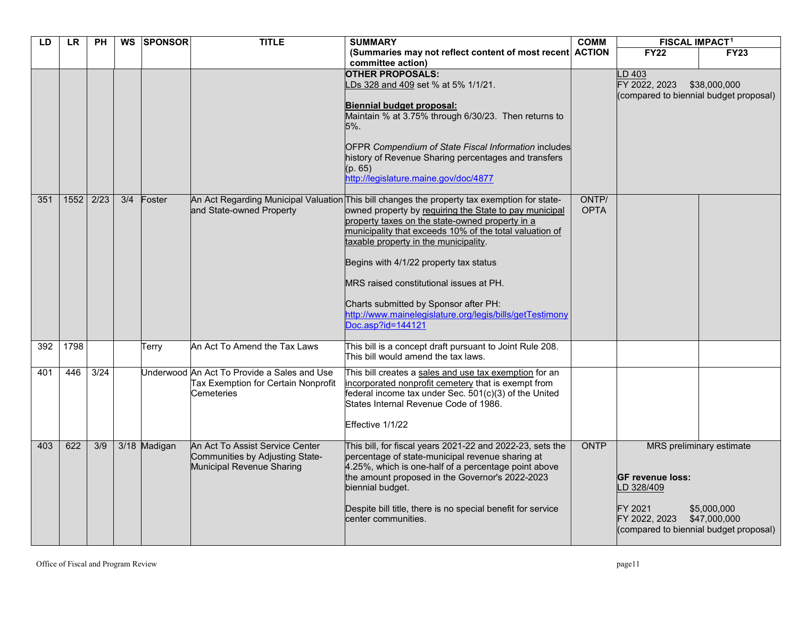| LD  | <b>LR</b> | <b>PH</b>        |     | WS SPONSOR   | <b>TITLE</b>                                                                                     | <b>SUMMARY</b>                                                                                                                                                                                                                                                                                                                                                                                                                                                                                                               | <b>COMM</b>          | <b>FISCAL IMPACT1</b>                                                                                       |                                                         |
|-----|-----------|------------------|-----|--------------|--------------------------------------------------------------------------------------------------|------------------------------------------------------------------------------------------------------------------------------------------------------------------------------------------------------------------------------------------------------------------------------------------------------------------------------------------------------------------------------------------------------------------------------------------------------------------------------------------------------------------------------|----------------------|-------------------------------------------------------------------------------------------------------------|---------------------------------------------------------|
|     |           |                  |     |              |                                                                                                  | (Summaries may not reflect content of most recent ACTION<br>committee action)                                                                                                                                                                                                                                                                                                                                                                                                                                                |                      | <b>FY22</b>                                                                                                 | <b>FY23</b>                                             |
|     |           |                  |     |              |                                                                                                  | <b>OTHER PROPOSALS:</b><br>LDs 328 and 409 set % at 5% 1/1/21.<br>Biennial budget proposal:<br>Maintain % at 3.75% through 6/30/23. Then returns to<br>5%.<br><b>OFPR Compendium of State Fiscal Information includes</b><br>history of Revenue Sharing percentages and transfers<br>(p. 65)<br>http://legislature.maine.gov/doc/4877                                                                                                                                                                                        |                      | $-D$ 403<br>FY 2022, 2023                                                                                   | \$38,000,000<br>(compared to biennial budget proposal)  |
| 351 | 1552      | 2/23             | 3/4 | Foster       | and State-owned Property                                                                         | An Act Regarding Municipal Valuation This bill changes the property tax exemption for state-<br>owned property by requiring the State to pay municipal<br>property taxes on the state-owned property in a<br>municipality that exceeds 10% of the total valuation of<br>taxable property in the municipality.<br>Begins with 4/1/22 property tax status<br>MRS raised constitutional issues at PH.<br>Charts submitted by Sponsor after PH:<br>http://www.mainelegislature.org/legis/bills/getTestimony<br>Doc.asp?id=144121 | ONTP/<br><b>OPTA</b> |                                                                                                             |                                                         |
| 392 | 1798      |                  |     | Terry        | An Act To Amend the Tax Laws                                                                     | This bill is a concept draft pursuant to Joint Rule 208.<br>This bill would amend the tax laws.                                                                                                                                                                                                                                                                                                                                                                                                                              |                      |                                                                                                             |                                                         |
| 401 | 446       | $\frac{3}{24}$   |     |              | Underwood An Act To Provide a Sales and Use<br>Tax Exemption for Certain Nonprofit<br>Cemeteries | This bill creates a sales and use tax exemption for an<br>incorporated nonprofit cemetery that is exempt from<br>federal income tax under Sec. 501(c)(3) of the United<br>States Internal Revenue Code of 1986.<br>Effective 1/1/22                                                                                                                                                                                                                                                                                          |                      |                                                                                                             |                                                         |
| 403 | 622       | $\overline{3/9}$ |     | 3/18 Madigan | An Act To Assist Service Center<br>Communities by Adjusting State-<br>Municipal Revenue Sharing  | This bill, for fiscal years 2021-22 and 2022-23, sets the<br>percentage of state-municipal revenue sharing at<br>4.25%, which is one-half of a percentage point above<br>the amount proposed in the Governor's 2022-2023<br>biennial budget.<br>Despite bill title, there is no special benefit for service<br>center communities.                                                                                                                                                                                           | ONTP                 | <b>GF revenue loss:</b><br>LD 328/409<br>FY 2021<br>FY 2022, 2023<br>(compared to biennial budget proposal) | MRS preliminary estimate<br>\$5,000,000<br>\$47,000,000 |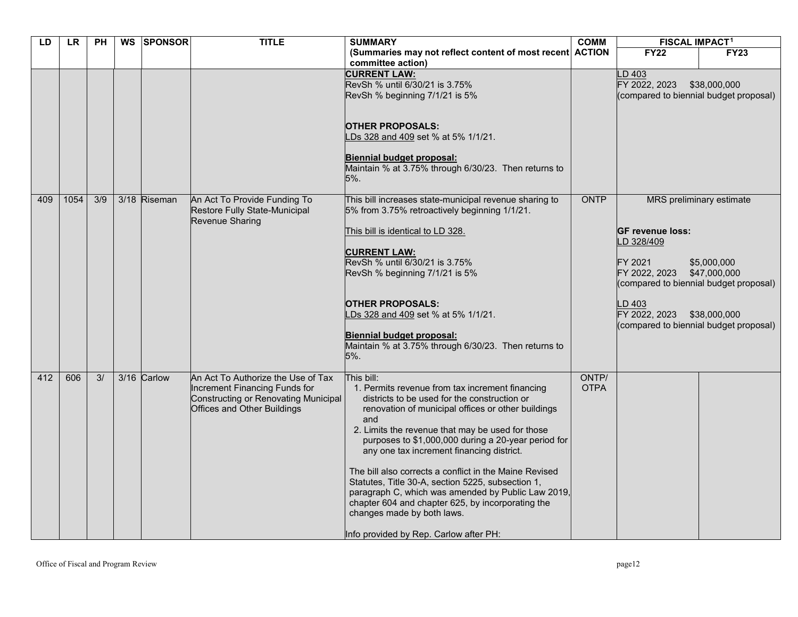| LD  | <b>LR</b> | PH  | WS SPONSOR   | <b>TITLE</b>                                                                                                                               | <b>SUMMARY</b>                                                                                                                                                                                                                                                                                                                                                                                                                                                                                                                                                                                                                       | <b>COMM</b>          | <b>FISCAL IMPACT1</b>                                                                                                                                                           |                                                                         |
|-----|-----------|-----|--------------|--------------------------------------------------------------------------------------------------------------------------------------------|--------------------------------------------------------------------------------------------------------------------------------------------------------------------------------------------------------------------------------------------------------------------------------------------------------------------------------------------------------------------------------------------------------------------------------------------------------------------------------------------------------------------------------------------------------------------------------------------------------------------------------------|----------------------|---------------------------------------------------------------------------------------------------------------------------------------------------------------------------------|-------------------------------------------------------------------------|
|     |           |     |              |                                                                                                                                            | (Summaries may not reflect content of most recent ACTION<br>committee action)                                                                                                                                                                                                                                                                                                                                                                                                                                                                                                                                                        |                      | <b>FY22</b>                                                                                                                                                                     | <b>FY23</b>                                                             |
|     |           |     |              |                                                                                                                                            | <b>CURRENT LAW:</b><br>RevSh % until 6/30/21 is 3.75%<br>RevSh % beginning 7/1/21 is 5%<br><b>OTHER PROPOSALS:</b><br>LDs 328 and 409 set % at 5% 1/1/21.<br>Biennial budget proposal:<br>Maintain % at 3.75% through 6/30/23. Then returns to<br>5%.                                                                                                                                                                                                                                                                                                                                                                                |                      | D 403<br>FY 2022, 2023<br>(compared to biennial budget proposal)                                                                                                                | \$38,000,000                                                            |
| 409 | 1054      | 3/9 | 3/18 Riseman | An Act To Provide Funding To<br>Restore Fully State-Municipal<br>Revenue Sharing                                                           | This bill increases state-municipal revenue sharing to<br>5% from 3.75% retroactively beginning 1/1/21.<br>This bill is identical to LD 328.<br><b>CURRENT LAW:</b><br>RevSh % until 6/30/21 is 3.75%<br>RevSh % beginning 7/1/21 is 5%<br><b>OTHER PROPOSALS:</b><br>LDs 328 and 409 set % at 5% 1/1/21.<br>Biennial budget proposal:<br>Maintain % at 3.75% through 6/30/23. Then returns to<br>5%.                                                                                                                                                                                                                                | ONTP                 | <b>GF revenue loss:</b><br>D 328/409<br>FY 2021<br>FY 2022, 2023<br>(compared to biennial budget proposal)<br>LD 403<br>FY 2022, 2023<br>(compared to biennial budget proposal) | MRS preliminary estimate<br>\$5,000,000<br>\$47,000,000<br>\$38,000,000 |
| 412 | 606       | 3/  | 3/16 Carlow  | An Act To Authorize the Use of Tax<br>Increment Financing Funds for<br>Constructing or Renovating Municipal<br>Offices and Other Buildings | This bill:<br>1. Permits revenue from tax increment financing<br>districts to be used for the construction or<br>renovation of municipal offices or other buildings<br>and<br>2. Limits the revenue that may be used for those<br>purposes to \$1,000,000 during a 20-year period for<br>any one tax increment financing district.<br>The bill also corrects a conflict in the Maine Revised<br>Statutes, Title 30-A, section 5225, subsection 1,<br>paragraph C, which was amended by Public Law 2019,<br>chapter 604 and chapter 625, by incorporating the<br>changes made by both laws.<br>Info provided by Rep. Carlow after PH: | ONTP/<br><b>OTPA</b> |                                                                                                                                                                                 |                                                                         |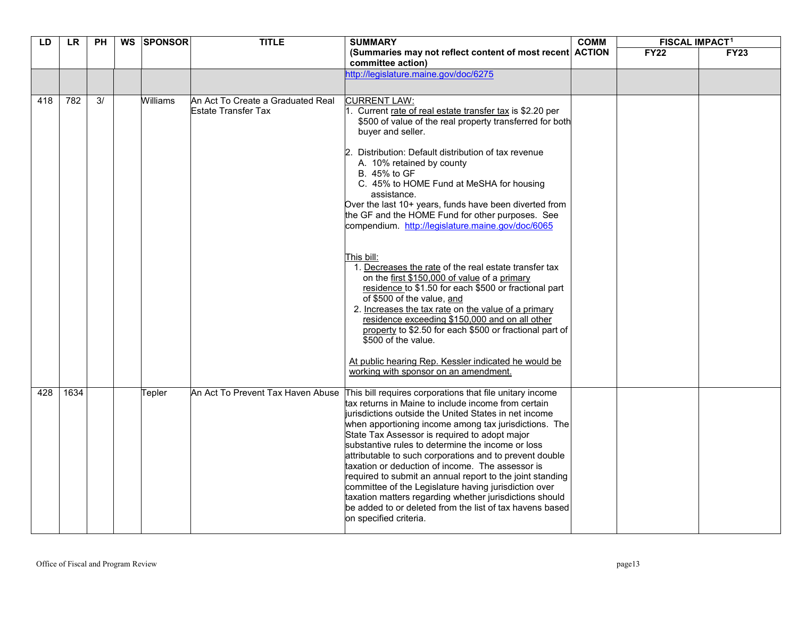| LD  | LR.  | <b>PH</b> | <b>WS</b> | <b>SPONSOR</b> | <b>TITLE</b>                                             | <b>SUMMARY</b>                                                                                                                                                                                                                                                                                                                                                                                                                                                                                                                                                                                                                                                                                                                                                  | <b>COMM</b> | <b>FISCAL IMPACT1</b> |             |
|-----|------|-----------|-----------|----------------|----------------------------------------------------------|-----------------------------------------------------------------------------------------------------------------------------------------------------------------------------------------------------------------------------------------------------------------------------------------------------------------------------------------------------------------------------------------------------------------------------------------------------------------------------------------------------------------------------------------------------------------------------------------------------------------------------------------------------------------------------------------------------------------------------------------------------------------|-------------|-----------------------|-------------|
|     |      |           |           |                |                                                          | (Summaries may not reflect content of most recent ACTION<br>committee action)                                                                                                                                                                                                                                                                                                                                                                                                                                                                                                                                                                                                                                                                                   |             | <b>FY22</b>           | <b>FY23</b> |
|     |      |           |           |                |                                                          | http://legislature.maine.gov/doc/6275                                                                                                                                                                                                                                                                                                                                                                                                                                                                                                                                                                                                                                                                                                                           |             |                       |             |
| 418 | 782  | 3/        |           | Williams       | An Act To Create a Graduated Real<br>Estate Transfer Tax | <b>CURRENT LAW:</b><br>Current rate of real estate transfer tax is \$2.20 per<br>\$500 of value of the real property transferred for both<br>buyer and seller.<br>Distribution: Default distribution of tax revenue<br>A. 10% retained by county<br>B. 45% to GF<br>C. 45% to HOME Fund at MeSHA for housing<br>assistance.<br>Over the last 10+ years, funds have been diverted from<br>the GF and the HOME Fund for other purposes. See<br>compendium. http://legislature.maine.gov/doc/6065                                                                                                                                                                                                                                                                  |             |                       |             |
|     |      |           |           |                |                                                          | This bill:<br>1. Decreases the rate of the real estate transfer tax<br>on the first \$150,000 of value of a primary<br>residence to \$1.50 for each \$500 or fractional part<br>of \$500 of the value, and<br>2. Increases the tax rate on the value of a primary<br>residence exceeding \$150,000 and on all other<br>property to \$2.50 for each \$500 or fractional part of<br>\$500 of the value.<br>At public hearing Rep. Kessler indicated he would be<br>working with sponsor on an amendment.                                                                                                                                                                                                                                                          |             |                       |             |
| 428 | 1634 |           |           | Tepler         |                                                          | An Act To Prevent Tax Haven Abuse This bill requires corporations that file unitary income<br>tax returns in Maine to include income from certain<br>jurisdictions outside the United States in net income<br>when apportioning income among tax jurisdictions. The<br>State Tax Assessor is required to adopt major<br>substantive rules to determine the income or loss<br>attributable to such corporations and to prevent double<br>taxation or deduction of income. The assessor is<br>required to submit an annual report to the joint standing<br>committee of the Legislature having jurisdiction over<br>taxation matters regarding whether jurisdictions should<br>be added to or deleted from the list of tax havens based<br>on specified criteria. |             |                       |             |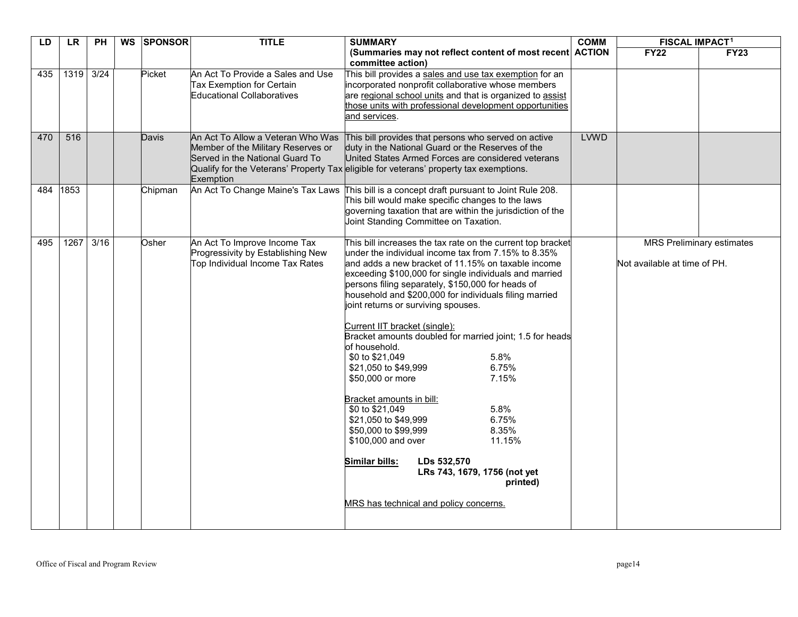| LD  | <b>LR</b>   | <b>PH</b> | <b>WS</b> | <b>SPONSOR</b> | <b>TITLE</b>                                                                                                            | <b>SUMMARY</b>                                                                                                                                                                                                                                                                                                                                                                                                                                                                                                                                                                                                                                                                                                                                                                                                                                                                    | <b>COMM</b> | <b>FISCAL IMPACT1</b>        |                                  |
|-----|-------------|-----------|-----------|----------------|-------------------------------------------------------------------------------------------------------------------------|-----------------------------------------------------------------------------------------------------------------------------------------------------------------------------------------------------------------------------------------------------------------------------------------------------------------------------------------------------------------------------------------------------------------------------------------------------------------------------------------------------------------------------------------------------------------------------------------------------------------------------------------------------------------------------------------------------------------------------------------------------------------------------------------------------------------------------------------------------------------------------------|-------------|------------------------------|----------------------------------|
|     |             |           |           |                |                                                                                                                         | (Summaries may not reflect content of most recent ACTION<br>committee action)                                                                                                                                                                                                                                                                                                                                                                                                                                                                                                                                                                                                                                                                                                                                                                                                     |             | <b>FY22</b>                  | <b>FY23</b>                      |
| 435 | 1319 3/24   |           |           | Picket         | An Act To Provide a Sales and Use<br>Tax Exemption for Certain<br><b>Educational Collaboratives</b>                     | This bill provides a sales and use tax exemption for an<br>incorporated nonprofit collaborative whose members<br>are regional school units and that is organized to assist<br>those units with professional development opportunities<br>and services.                                                                                                                                                                                                                                                                                                                                                                                                                                                                                                                                                                                                                            |             |                              |                                  |
| 470 | 516         |           |           | <b>Davis</b>   | An Act To Allow a Veteran Who Was<br>Member of the Military Reserves or<br>Served in the National Guard To<br>Exemption | This bill provides that persons who served on active<br>duty in the National Guard or the Reserves of the<br>United States Armed Forces are considered veterans<br>Qualify for the Veterans' Property Tax eligible for veterans' property tax exemptions.                                                                                                                                                                                                                                                                                                                                                                                                                                                                                                                                                                                                                         | <b>LVWD</b> |                              |                                  |
| 484 | 1853        |           |           | Chipman        |                                                                                                                         | An Act To Change Maine's Tax Laws This bill is a concept draft pursuant to Joint Rule 208.<br>This bill would make specific changes to the laws<br>governing taxation that are within the jurisdiction of the<br>Joint Standing Committee on Taxation.                                                                                                                                                                                                                                                                                                                                                                                                                                                                                                                                                                                                                            |             |                              |                                  |
| 495 | $1267$ 3/16 |           |           | Osher          | An Act To Improve Income Tax<br>Progressivity by Establishing New<br>Top Individual Income Tax Rates                    | This bill increases the tax rate on the current top bracket<br>under the individual income tax from 7.15% to 8.35%<br>land adds a new bracket of 11.15% on taxable income<br>exceeding \$100,000 for single individuals and married<br>persons filing separately, \$150,000 for heads of<br>household and \$200,000 for individuals filing married<br>joint returns or surviving spouses.<br>Current IIT bracket (single):<br>Bracket amounts doubled for married joint; 1.5 for heads<br>lof household.<br>\$0 to \$21,049<br>5.8%<br>6.75%<br>\$21,050 to \$49,999<br>7.15%<br>\$50,000 or more<br>Bracket amounts in bill:<br>5.8%<br>\$0 to \$21,049<br>6.75%<br>\$21,050 to \$49,999<br>\$50,000 to \$99,999<br>8.35%<br>\$100,000 and over<br>11.15%<br>Similar bills:<br>LDs 532,570<br>LRs 743, 1679, 1756 (not yet<br>printed)<br>MRS has technical and policy concerns. |             | Not available at time of PH. | <b>MRS Preliminary estimates</b> |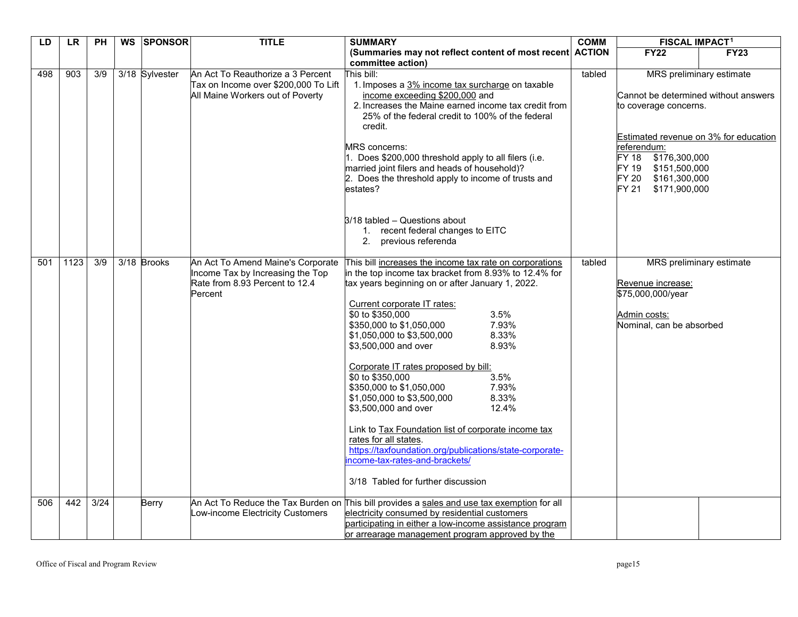| LD  | <b>LR</b> | <b>PH</b>        | WS SPONSOR     | <b>TITLE</b>                                                                                                       | <b>SUMMARY</b>                                                                                                                                                                                                                                                                                                                                                                                                                                                                                                                                                                                                                                                                                                                                  | <b>COMM</b> | <b>FISCAL IMPACT1</b>                                                                                                                                                                              |                                                                   |
|-----|-----------|------------------|----------------|--------------------------------------------------------------------------------------------------------------------|-------------------------------------------------------------------------------------------------------------------------------------------------------------------------------------------------------------------------------------------------------------------------------------------------------------------------------------------------------------------------------------------------------------------------------------------------------------------------------------------------------------------------------------------------------------------------------------------------------------------------------------------------------------------------------------------------------------------------------------------------|-------------|----------------------------------------------------------------------------------------------------------------------------------------------------------------------------------------------------|-------------------------------------------------------------------|
|     |           |                  |                |                                                                                                                    | (Summaries may not reflect content of most recent ACTION<br>committee action)                                                                                                                                                                                                                                                                                                                                                                                                                                                                                                                                                                                                                                                                   |             | <b>FY22</b>                                                                                                                                                                                        | <b>FY23</b>                                                       |
| 498 | 903       | 3/9              | 3/18 Sylvester | An Act To Reauthorize a 3 Percent<br>Tax on Income over \$200,000 To Lift<br>All Maine Workers out of Poverty      | This bill:<br>1. Imposes a 3% income tax surcharge on taxable<br>income exceeding \$200,000 and<br>2. Increases the Maine earned income tax credit from<br>25% of the federal credit to 100% of the federal<br>credit.<br><b>MRS</b> concerns:<br>1. Does \$200,000 threshold apply to all filers (i.e.<br>married joint filers and heads of household)?<br>2. Does the threshold apply to income of trusts and<br>estates?<br>3/18 tabled - Questions about<br>1. recent federal changes to EITC<br>2. previous referenda                                                                                                                                                                                                                      | tabled      | Cannot be determined without answers<br>to coverage concerns.<br>referendum:<br><b>FY 18</b><br>\$176,300,000<br>\$151,500,000<br>FY 19<br><b>FY 20</b><br>\$161,300,000<br>FY 21<br>\$171,900,000 | MRS preliminary estimate<br>Estimated revenue on 3% for education |
| 501 | 1123      | $\overline{3/9}$ | 3/18 Brooks    | An Act To Amend Maine's Corporate<br>Income Tax by Increasing the Top<br>Rate from 8.93 Percent to 12.4<br>Percent | This bill increases the income tax rate on corporations<br>in the top income tax bracket from 8.93% to 12.4% for<br>tax years beginning on or after January 1, 2022.<br>Current corporate IT rates:<br>\$0 to \$350,000<br>3.5%<br>\$350,000 to \$1,050,000<br>7.93%<br>8.33%<br>\$1,050,000 to \$3,500,000<br>\$3,500,000 and over<br>8.93%<br>Corporate IT rates proposed by bill:<br>\$0 to \$350,000<br>3.5%<br>7.93%<br>\$350,000 to \$1,050,000<br>8.33%<br>\$1,050,000 to \$3,500,000<br>12.4%<br>\$3,500,000 and over<br>Link to Tax Foundation list of corporate income tax<br>rates for all states.<br>https://taxfoundation.org/publications/state-corporate-<br>ncome-tax-rates-and-brackets/<br>3/18 Tabled for further discussion | tabled      | Revenue increase:<br>\$75,000,000/year<br>Admin costs:<br>Nominal, can be absorbed                                                                                                                 | MRS preliminary estimate                                          |
| 506 | 442       | 3/24             | Berry          | An Act To Reduce the Tax Burden on<br>Low-income Electricity Customers                                             | This bill provides a sales and use tax exemption for all<br>electricity consumed by residential customers<br>participating in either a low-income assistance program<br>or arrearage management program approved by the                                                                                                                                                                                                                                                                                                                                                                                                                                                                                                                         |             |                                                                                                                                                                                                    |                                                                   |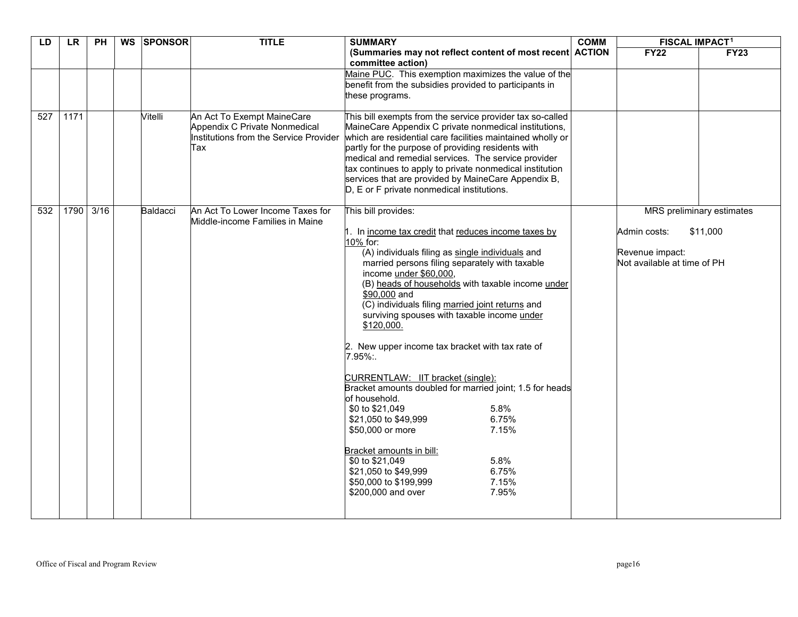| LD  | <b>LR</b> | <b>PH</b> | WS SPONSOR | <b>TITLE</b>                                                                                                 | <b>SUMMARY</b>                                                                                                                                                                                                                         | <b>COMM</b> | <b>FISCAL IMPACT1</b>                          |                           |
|-----|-----------|-----------|------------|--------------------------------------------------------------------------------------------------------------|----------------------------------------------------------------------------------------------------------------------------------------------------------------------------------------------------------------------------------------|-------------|------------------------------------------------|---------------------------|
|     |           |           |            |                                                                                                              | (Summaries may not reflect content of most recent ACTION<br>committee action)                                                                                                                                                          |             | <b>FY22</b>                                    | <b>FY23</b>               |
|     |           |           |            |                                                                                                              | Maine PUC. This exemption maximizes the value of the                                                                                                                                                                                   |             |                                                |                           |
|     |           |           |            |                                                                                                              | benefit from the subsidies provided to participants in<br>these programs.                                                                                                                                                              |             |                                                |                           |
|     |           |           |            |                                                                                                              |                                                                                                                                                                                                                                        |             |                                                |                           |
| 527 | 1171      |           | Vitelli    | An Act To Exempt MaineCare<br>Appendix C Private Nonmedical<br>Institutions from the Service Provider<br>Tax | This bill exempts from the service provider tax so-called<br>MaineCare Appendix C private nonmedical institutions,<br>which are residential care facilities maintained wholly or<br>partly for the purpose of providing residents with |             |                                                |                           |
|     |           |           |            |                                                                                                              | medical and remedial services. The service provider<br>tax continues to apply to private nonmedical institution                                                                                                                        |             |                                                |                           |
|     |           |           |            |                                                                                                              | services that are provided by MaineCare Appendix B,<br>D, E or F private nonmedical institutions.                                                                                                                                      |             |                                                |                           |
|     |           |           |            |                                                                                                              |                                                                                                                                                                                                                                        |             |                                                |                           |
| 532 |           | 1790 3/16 | Baldacci   | An Act To Lower Income Taxes for<br>Middle-income Families in Maine                                          | This bill provides:                                                                                                                                                                                                                    |             |                                                | MRS preliminary estimates |
|     |           |           |            |                                                                                                              | 1. In income tax credit that reduces income taxes by<br>10% for:                                                                                                                                                                       |             | Admin costs:                                   | \$11,000                  |
|     |           |           |            |                                                                                                              | (A) individuals filing as single individuals and<br>married persons filing separately with taxable                                                                                                                                     |             | Revenue impact:<br>Not available at time of PH |                           |
|     |           |           |            |                                                                                                              | income under \$60,000,<br>(B) heads of households with taxable income under<br>\$90,000 and<br>(C) individuals filing married joint returns and<br>surviving spouses with taxable income under<br>\$120,000.                           |             |                                                |                           |
|     |           |           |            |                                                                                                              | 2. New upper income tax bracket with tax rate of<br>7.95%:                                                                                                                                                                             |             |                                                |                           |
|     |           |           |            |                                                                                                              | CURRENTLAW: IIT bracket (single):<br>Bracket amounts doubled for married joint; 1.5 for heads<br>of household.                                                                                                                         |             |                                                |                           |
|     |           |           |            |                                                                                                              | \$0 to \$21,049<br>5.8%                                                                                                                                                                                                                |             |                                                |                           |
|     |           |           |            |                                                                                                              | \$21,050 to \$49,999<br>6.75%<br>\$50,000 or more<br>7.15%                                                                                                                                                                             |             |                                                |                           |
|     |           |           |            |                                                                                                              | Bracket amounts in bill:                                                                                                                                                                                                               |             |                                                |                           |
|     |           |           |            |                                                                                                              | \$0 to \$21,049<br>5.8%<br>6.75%<br>\$21,050 to \$49,999                                                                                                                                                                               |             |                                                |                           |
|     |           |           |            |                                                                                                              | \$50,000 to \$199,999<br>7.15%                                                                                                                                                                                                         |             |                                                |                           |
|     |           |           |            |                                                                                                              | \$200,000 and over<br>7.95%                                                                                                                                                                                                            |             |                                                |                           |
|     |           |           |            |                                                                                                              |                                                                                                                                                                                                                                        |             |                                                |                           |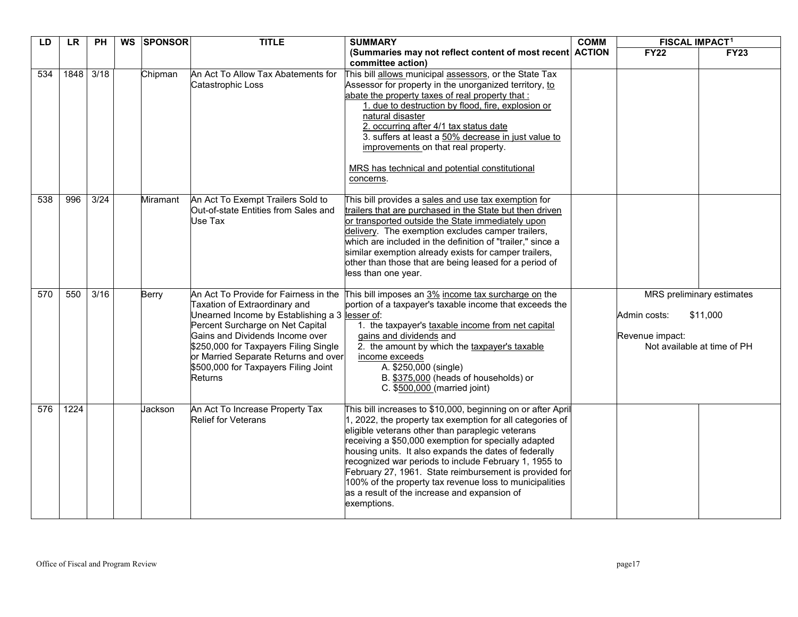| LD  | <b>LR</b> | PH             | WS SPONSOR      | <b>TITLE</b>                                                                                                                                                                                                                                                                                                                               | <b>SUMMARY</b>                                                                                                                                                                                                                                                                                                                                                                                                                                                                                                                              | <b>COMM</b> | <b>FISCAL IMPACT1</b>           |                                                                      |
|-----|-----------|----------------|-----------------|--------------------------------------------------------------------------------------------------------------------------------------------------------------------------------------------------------------------------------------------------------------------------------------------------------------------------------------------|---------------------------------------------------------------------------------------------------------------------------------------------------------------------------------------------------------------------------------------------------------------------------------------------------------------------------------------------------------------------------------------------------------------------------------------------------------------------------------------------------------------------------------------------|-------------|---------------------------------|----------------------------------------------------------------------|
|     |           |                |                 |                                                                                                                                                                                                                                                                                                                                            | (Summaries may not reflect content of most recent ACTION<br>committee action)                                                                                                                                                                                                                                                                                                                                                                                                                                                               |             | <b>FY22</b>                     | <b>FY23</b>                                                          |
| 534 | 1848      | 3/18           | Chipman         | An Act To Allow Tax Abatements for<br>Catastrophic Loss                                                                                                                                                                                                                                                                                    | This bill allows municipal assessors, or the State Tax<br>Assessor for property in the unorganized territory, to<br>abate the property taxes of real property that :<br>1. due to destruction by flood, fire, explosion or<br>natural disaster<br>2. occurring after 4/1 tax status date<br>3. suffers at least a 50% decrease in just value to<br>improvements on that real property.<br>MRS has technical and potential constitutional<br>concerns.                                                                                       |             |                                 |                                                                      |
| 538 | 996       | $\frac{3}{24}$ | <b>Miramant</b> | An Act To Exempt Trailers Sold to<br>Out-of-state Entities from Sales and<br>Use Tax                                                                                                                                                                                                                                                       | This bill provides a sales and use tax exemption for<br>trailers that are purchased in the State but then driven<br>or transported outside the State immediately upon<br>delivery. The exemption excludes camper trailers,<br>which are included in the definition of "trailer," since a<br>similar exemption already exists for camper trailers,<br>other than those that are being leased for a period of<br>less than one year.                                                                                                          |             |                                 |                                                                      |
| 570 | 550       | 3/16           | Berry           | An Act To Provide for Fairness in the<br>Taxation of Extraordinary and<br>Unearned Income by Establishing a 3 lesser of:<br>Percent Surcharge on Net Capital<br>Gains and Dividends Income over<br>\$250,000 for Taxpayers Filing Single<br>or Married Separate Returns and over<br>\$500,000 for Taxpayers Filing Joint<br><b>Returns</b> | This bill imposes an 3% income tax surcharge on the<br>portion of a taxpayer's taxable income that exceeds the<br>1. the taxpayer's taxable income from net capital<br>gains and dividends and<br>2. the amount by which the taxpayer's taxable<br>income exceeds<br>A. \$250,000 (single)<br>B. \$375,000 (heads of households) or<br>C. \$500,000 (married joint)                                                                                                                                                                         |             | Admin costs:<br>Revenue impact: | MRS preliminary estimates<br>\$11,000<br>Not available at time of PH |
| 576 | 1224      |                | Jackson         | An Act To Increase Property Tax<br><b>Relief for Veterans</b>                                                                                                                                                                                                                                                                              | This bill increases to \$10,000, beginning on or after April<br>1, 2022, the property tax exemption for all categories of<br>eligible veterans other than paraplegic veterans<br>receiving a \$50,000 exemption for specially adapted<br>housing units. It also expands the dates of federally<br>recognized war periods to include February 1, 1955 to<br>February 27, 1961. State reimbursement is provided for<br>100% of the property tax revenue loss to municipalities<br>as a result of the increase and expansion of<br>exemptions. |             |                                 |                                                                      |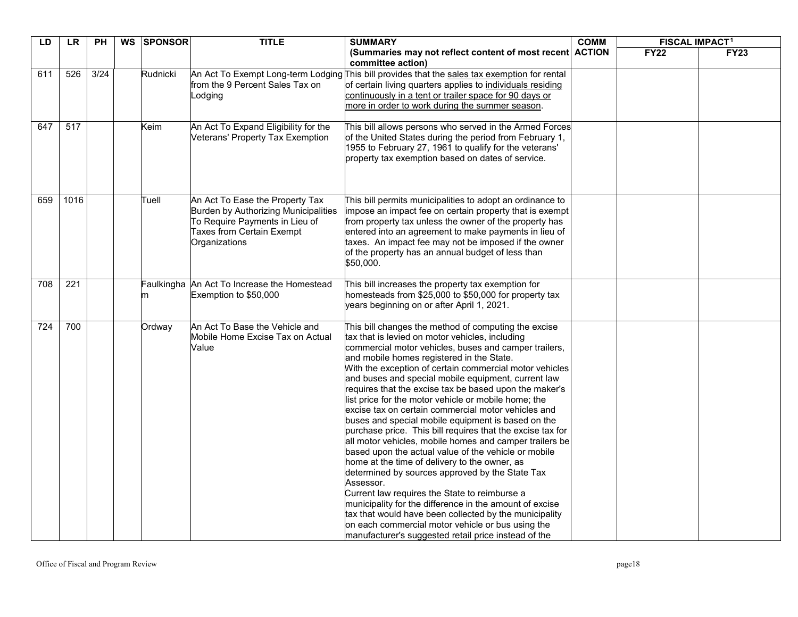| LD  | <b>LR</b> | <b>PH</b> | WS SPONSOR | <b>TITLE</b>                                                                                                                                                          | <b>SUMMARY</b>                                                                                                                                                                                                                                                                                                                                                                                                                                                                                                                                                                                                                                                                                                                                                                                                                                                                                                                                                                                                                                                                                                                                       | <b>COMM</b> | <b>FISCAL IMPACT<sup>1</sup></b> |             |
|-----|-----------|-----------|------------|-----------------------------------------------------------------------------------------------------------------------------------------------------------------------|------------------------------------------------------------------------------------------------------------------------------------------------------------------------------------------------------------------------------------------------------------------------------------------------------------------------------------------------------------------------------------------------------------------------------------------------------------------------------------------------------------------------------------------------------------------------------------------------------------------------------------------------------------------------------------------------------------------------------------------------------------------------------------------------------------------------------------------------------------------------------------------------------------------------------------------------------------------------------------------------------------------------------------------------------------------------------------------------------------------------------------------------------|-------------|----------------------------------|-------------|
|     |           |           |            |                                                                                                                                                                       | (Summaries may not reflect content of most recent ACTION<br>committee action)                                                                                                                                                                                                                                                                                                                                                                                                                                                                                                                                                                                                                                                                                                                                                                                                                                                                                                                                                                                                                                                                        |             | <b>FY22</b>                      | <b>FY23</b> |
| 611 | 526       | 3/24      | Rudnicki   | from the 9 Percent Sales Tax on<br>Lodging                                                                                                                            | An Act To Exempt Long-term Lodging This bill provides that the sales tax exemption for rental<br>of certain living quarters applies to individuals residing<br>continuously in a tent or trailer space for 90 days or<br>more in order to work during the summer season.                                                                                                                                                                                                                                                                                                                                                                                                                                                                                                                                                                                                                                                                                                                                                                                                                                                                             |             |                                  |             |
| 647 | 517       |           | Keim       | An Act To Expand Eligibility for the<br>Veterans' Property Tax Exemption                                                                                              | This bill allows persons who served in the Armed Forces<br>of the United States during the period from February 1,<br>1955 to February 27, 1961 to qualify for the veterans'<br>property tax exemption based on dates of service.                                                                                                                                                                                                                                                                                                                                                                                                                                                                                                                                                                                                                                                                                                                                                                                                                                                                                                                    |             |                                  |             |
| 659 | 1016      |           | Tuell      | An Act To Ease the Property Tax<br><b>Burden by Authorizing Municipalities</b><br>To Require Payments in Lieu of<br><b>Taxes from Certain Exempt</b><br>Organizations | This bill permits municipalities to adopt an ordinance to<br>impose an impact fee on certain property that is exempt<br>from property tax unless the owner of the property has<br>entered into an agreement to make payments in lieu of<br>taxes. An impact fee may not be imposed if the owner<br>of the property has an annual budget of less than<br>\$50,000.                                                                                                                                                                                                                                                                                                                                                                                                                                                                                                                                                                                                                                                                                                                                                                                    |             |                                  |             |
| 708 | 221       |           | m          | Faulkingha An Act To Increase the Homestead<br>Exemption to \$50,000                                                                                                  | This bill increases the property tax exemption for<br>homesteads from \$25,000 to \$50,000 for property tax<br>years beginning on or after April 1, 2021.                                                                                                                                                                                                                                                                                                                                                                                                                                                                                                                                                                                                                                                                                                                                                                                                                                                                                                                                                                                            |             |                                  |             |
| 724 | 700       |           | Ordway     | An Act To Base the Vehicle and<br>Mobile Home Excise Tax on Actual<br>Value                                                                                           | This bill changes the method of computing the excise<br>tax that is levied on motor vehicles, including<br>commercial motor vehicles, buses and camper trailers,<br>and mobile homes registered in the State.<br>With the exception of certain commercial motor vehicles<br>and buses and special mobile equipment, current law<br>requires that the excise tax be based upon the maker's<br>list price for the motor vehicle or mobile home; the<br>lexcise tax on certain commercial motor vehicles and<br>buses and special mobile equipment is based on the<br>purchase price. This bill requires that the excise tax for<br>all motor vehicles, mobile homes and camper trailers be<br>based upon the actual value of the vehicle or mobile<br>home at the time of delivery to the owner, as<br>determined by sources approved by the State Tax<br>Assessor.<br>Current law requires the State to reimburse a<br>municipality for the difference in the amount of excise<br>tax that would have been collected by the municipality<br>on each commercial motor vehicle or bus using the<br>manufacturer's suggested retail price instead of the |             |                                  |             |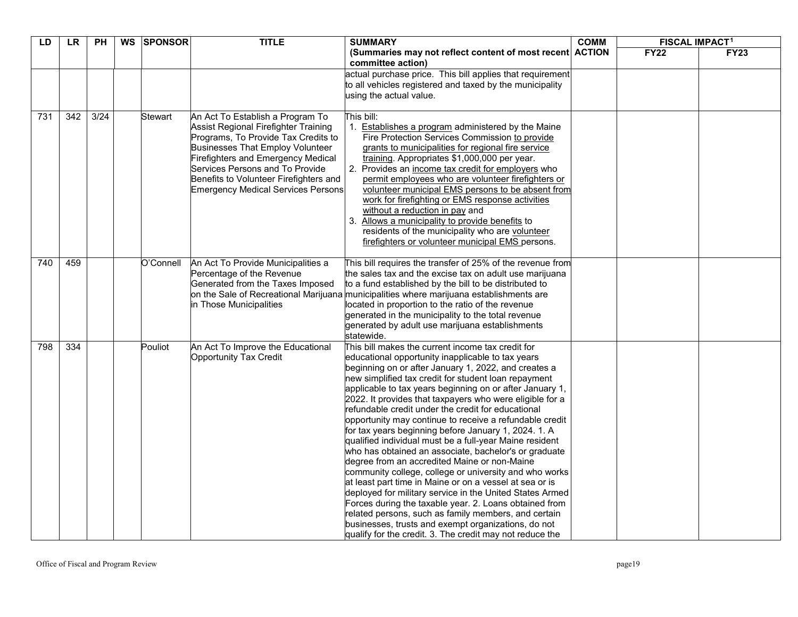| LD  | <b>LR</b>        | <b>PH</b>      | WS | <b>SPONSOR</b> | <b>TITLE</b>                                                                                                                                                                                                                                                                                                                      | <b>SUMMARY</b>                                                                                                                                                                                                                                                                                                                                                                                                                                                                                                                                                                                                                                                                                                                                                                                                                                                                                                                                                                                                                                                                                                    | <b>COMM</b> | <b>FISCAL IMPACT<sup>1</sup></b> |             |
|-----|------------------|----------------|----|----------------|-----------------------------------------------------------------------------------------------------------------------------------------------------------------------------------------------------------------------------------------------------------------------------------------------------------------------------------|-------------------------------------------------------------------------------------------------------------------------------------------------------------------------------------------------------------------------------------------------------------------------------------------------------------------------------------------------------------------------------------------------------------------------------------------------------------------------------------------------------------------------------------------------------------------------------------------------------------------------------------------------------------------------------------------------------------------------------------------------------------------------------------------------------------------------------------------------------------------------------------------------------------------------------------------------------------------------------------------------------------------------------------------------------------------------------------------------------------------|-------------|----------------------------------|-------------|
|     |                  |                |    |                |                                                                                                                                                                                                                                                                                                                                   | (Summaries may not reflect content of most recent ACTION<br>committee action)                                                                                                                                                                                                                                                                                                                                                                                                                                                                                                                                                                                                                                                                                                                                                                                                                                                                                                                                                                                                                                     |             | <b>FY22</b>                      | <b>FY23</b> |
|     |                  |                |    |                |                                                                                                                                                                                                                                                                                                                                   | actual purchase price. This bill applies that requirement<br>to all vehicles registered and taxed by the municipality<br>using the actual value.                                                                                                                                                                                                                                                                                                                                                                                                                                                                                                                                                                                                                                                                                                                                                                                                                                                                                                                                                                  |             |                                  |             |
| 731 | $\overline{342}$ | $\frac{3}{24}$ |    | Stewart        | An Act To Establish a Program To<br>Assist Regional Firefighter Training<br>Programs, To Provide Tax Credits to<br><b>Businesses That Employ Volunteer</b><br><b>Firefighters and Emergency Medical</b><br>Services Persons and To Provide<br>Benefits to Volunteer Firefighters and<br><b>Emergency Medical Services Persons</b> | This bill:<br>1. Establishes a program administered by the Maine<br>Fire Protection Services Commission to provide<br>grants to municipalities for regional fire service<br>training. Appropriates \$1,000,000 per year.<br>2. Provides an income tax credit for employers who<br>permit employees who are volunteer firefighters or<br>volunteer municipal EMS persons to be absent from<br>work for firefighting or EMS response activities<br>without a reduction in pay and<br>3. Allows a municipality to provide benefits to<br>residents of the municipality who are volunteer<br>firefighters or volunteer municipal EMS persons.                                                                                                                                                                                                                                                                                                                                                                                                                                                                         |             |                                  |             |
| 740 | 459              |                |    | O'Connell      | An Act To Provide Municipalities a<br>Percentage of the Revenue<br>Generated from the Taxes Imposed<br>in Those Municipalities                                                                                                                                                                                                    | This bill requires the transfer of 25% of the revenue from<br>the sales tax and the excise tax on adult use marijuana<br>to a fund established by the bill to be distributed to<br>on the Sale of Recreational Marijuana municipalities where marijuana establishments are<br>located in proportion to the ratio of the revenue<br>generated in the municipality to the total revenue<br>generated by adult use marijuana establishments<br>statewide.                                                                                                                                                                                                                                                                                                                                                                                                                                                                                                                                                                                                                                                            |             |                                  |             |
| 798 | 334              |                |    | Pouliot        | An Act To Improve the Educational<br><b>Opportunity Tax Credit</b>                                                                                                                                                                                                                                                                | This bill makes the current income tax credit for<br>educational opportunity inapplicable to tax years<br>beginning on or after January 1, 2022, and creates a<br>new simplified tax credit for student loan repayment<br>applicable to tax years beginning on or after January 1,<br>2022. It provides that taxpayers who were eligible for a<br>refundable credit under the credit for educational<br>opportunity may continue to receive a refundable credit<br>for tax years beginning before January 1, 2024. 1. A<br>qualified individual must be a full-year Maine resident<br>who has obtained an associate, bachelor's or graduate<br>degree from an accredited Maine or non-Maine<br>community college, college or university and who works<br>at least part time in Maine or on a vessel at sea or is<br>deployed for military service in the United States Armed<br>Forces during the taxable year. 2. Loans obtained from<br>related persons, such as family members, and certain<br>businesses, trusts and exempt organizations, do not<br>qualify for the credit. 3. The credit may not reduce the |             |                                  |             |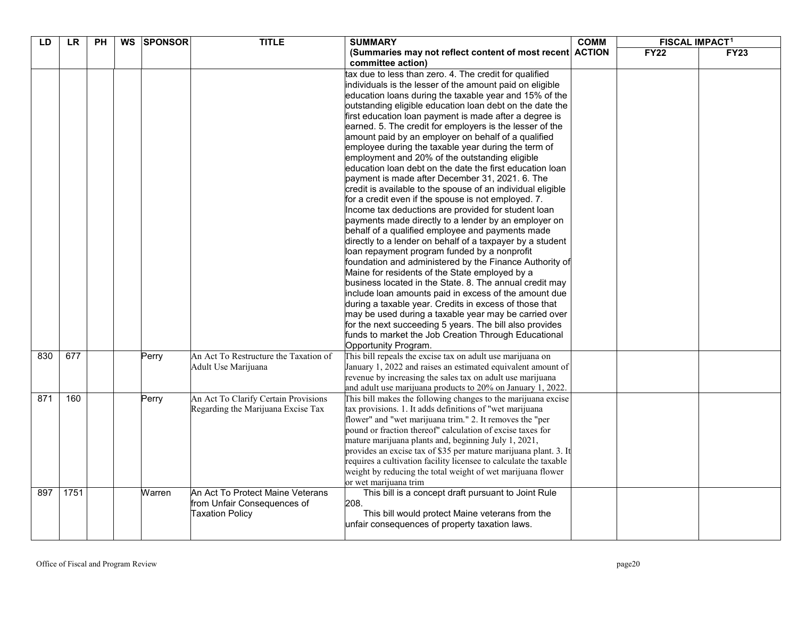| LD  | <b>LR</b> | PH | WS | <b>SPONSOR</b> | <b>TITLE</b>                          | <b>SUMMARY</b>                                                                | <b>COMM</b> | <b>FISCAL IMPACT1</b> |             |
|-----|-----------|----|----|----------------|---------------------------------------|-------------------------------------------------------------------------------|-------------|-----------------------|-------------|
|     |           |    |    |                |                                       | (Summaries may not reflect content of most recent ACTION<br>committee action) |             | <b>FY22</b>           | <b>FY23</b> |
|     |           |    |    |                |                                       | tax due to less than zero. 4. The credit for qualified                        |             |                       |             |
|     |           |    |    |                |                                       | individuals is the lesser of the amount paid on eligible                      |             |                       |             |
|     |           |    |    |                |                                       | education loans during the taxable year and 15% of the                        |             |                       |             |
|     |           |    |    |                |                                       | outstanding eligible education loan debt on the date the                      |             |                       |             |
|     |           |    |    |                |                                       | first education loan payment is made after a degree is                        |             |                       |             |
|     |           |    |    |                |                                       | earned. 5. The credit for employers is the lesser of the                      |             |                       |             |
|     |           |    |    |                |                                       | amount paid by an employer on behalf of a qualified                           |             |                       |             |
|     |           |    |    |                |                                       | employee during the taxable year during the term of                           |             |                       |             |
|     |           |    |    |                |                                       | employment and 20% of the outstanding eligible                                |             |                       |             |
|     |           |    |    |                |                                       | education loan debt on the date the first education loan                      |             |                       |             |
|     |           |    |    |                |                                       | payment is made after December 31, 2021. 6. The                               |             |                       |             |
|     |           |    |    |                |                                       | credit is available to the spouse of an individual eligible                   |             |                       |             |
|     |           |    |    |                |                                       | for a credit even if the spouse is not employed. 7.                           |             |                       |             |
|     |           |    |    |                |                                       | Income tax deductions are provided for student loan                           |             |                       |             |
|     |           |    |    |                |                                       | payments made directly to a lender by an employer on                          |             |                       |             |
|     |           |    |    |                |                                       | behalf of a qualified employee and payments made                              |             |                       |             |
|     |           |    |    |                |                                       | directly to a lender on behalf of a taxpayer by a student                     |             |                       |             |
|     |           |    |    |                |                                       | loan repayment program funded by a nonprofit                                  |             |                       |             |
|     |           |    |    |                |                                       | foundation and administered by the Finance Authority of                       |             |                       |             |
|     |           |    |    |                |                                       | Maine for residents of the State employed by a                                |             |                       |             |
|     |           |    |    |                |                                       | business located in the State. 8. The annual credit may                       |             |                       |             |
|     |           |    |    |                |                                       | include loan amounts paid in excess of the amount due                         |             |                       |             |
|     |           |    |    |                |                                       | during a taxable year. Credits in excess of those that                        |             |                       |             |
|     |           |    |    |                |                                       | may be used during a taxable year may be carried over                         |             |                       |             |
|     |           |    |    |                |                                       | for the next succeeding 5 years. The bill also provides                       |             |                       |             |
|     |           |    |    |                |                                       | funds to market the Job Creation Through Educational                          |             |                       |             |
|     |           |    |    |                |                                       | Opportunity Program.                                                          |             |                       |             |
| 830 | 677       |    |    | Perry          | An Act To Restructure the Taxation of | This bill repeals the excise tax on adult use marijuana on                    |             |                       |             |
|     |           |    |    |                | Adult Use Marijuana                   | January 1, 2022 and raises an estimated equivalent amount of                  |             |                       |             |
|     |           |    |    |                |                                       | revenue by increasing the sales tax on adult use marijuana                    |             |                       |             |
|     |           |    |    |                |                                       | and adult use marijuana products to 20% on January 1, 2022.                   |             |                       |             |
| 871 | 160       |    |    | Perry          | An Act To Clarify Certain Provisions  | This bill makes the following changes to the marijuana excise                 |             |                       |             |
|     |           |    |    |                | Regarding the Marijuana Excise Tax    | tax provisions. 1. It adds definitions of "wet marijuana                      |             |                       |             |
|     |           |    |    |                |                                       | flower" and "wet marijuana trim." 2. It removes the "per                      |             |                       |             |
|     |           |    |    |                |                                       | pound or fraction thereof" calculation of excise taxes for                    |             |                       |             |
|     |           |    |    |                |                                       | mature marijuana plants and, beginning July 1, 2021,                          |             |                       |             |
|     |           |    |    |                |                                       | provides an excise tax of \$35 per mature marijuana plant. 3. It              |             |                       |             |
|     |           |    |    |                |                                       | requires a cultivation facility licensee to calculate the taxable             |             |                       |             |
|     |           |    |    |                |                                       | weight by reducing the total weight of wet marijuana flower                   |             |                       |             |
|     |           |    |    |                |                                       | or wet marijuana trim                                                         |             |                       |             |
| 897 | 1751      |    |    | Warren         | An Act To Protect Maine Veterans      | This bill is a concept draft pursuant to Joint Rule                           |             |                       |             |
|     |           |    |    |                | from Unfair Consequences of           | 208.                                                                          |             |                       |             |
|     |           |    |    |                | <b>Taxation Policy</b>                | This bill would protect Maine veterans from the                               |             |                       |             |
|     |           |    |    |                |                                       | unfair consequences of property taxation laws.                                |             |                       |             |
|     |           |    |    |                |                                       |                                                                               |             |                       |             |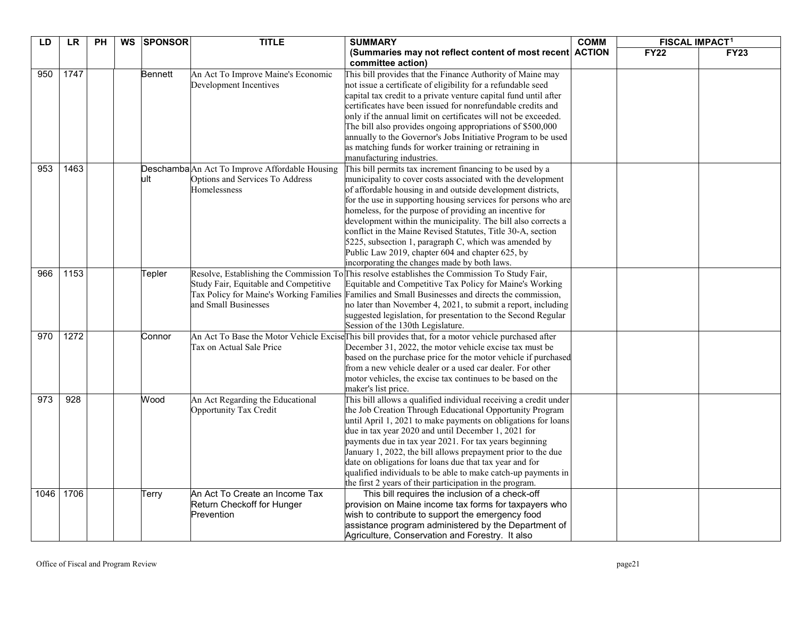| LD   | <b>LR</b> | $\overline{PH}$ | <b>WS</b> | <b>SPONSOR</b> | <b>TITLE</b>                                                    | <b>SUMMARY</b>                                                                                                                 | <b>COMM</b>   | <b>FISCAL IMPACT1</b> |             |
|------|-----------|-----------------|-----------|----------------|-----------------------------------------------------------------|--------------------------------------------------------------------------------------------------------------------------------|---------------|-----------------------|-------------|
|      |           |                 |           |                |                                                                 | (Summaries may not reflect content of most recent)<br>committee action)                                                        | <b>ACTION</b> | <b>FY22</b>           | <b>FY23</b> |
| 950  | 1747      |                 |           | <b>Bennett</b> | An Act To Improve Maine's Economic                              | This bill provides that the Finance Authority of Maine may                                                                     |               |                       |             |
|      |           |                 |           |                | Development Incentives                                          | not issue a certificate of eligibility for a refundable seed                                                                   |               |                       |             |
|      |           |                 |           |                |                                                                 | capital tax credit to a private venture capital fund until after                                                               |               |                       |             |
|      |           |                 |           |                |                                                                 | certificates have been issued for nonrefundable credits and                                                                    |               |                       |             |
|      |           |                 |           |                |                                                                 | only if the annual limit on certificates will not be exceeded.                                                                 |               |                       |             |
|      |           |                 |           |                |                                                                 | The bill also provides ongoing appropriations of \$500,000                                                                     |               |                       |             |
|      |           |                 |           |                |                                                                 | annually to the Governor's Jobs Initiative Program to be used                                                                  |               |                       |             |
|      |           |                 |           |                |                                                                 | as matching funds for worker training or retraining in<br>manufacturing industries.                                            |               |                       |             |
| 953  | 1463      |                 |           |                | Deschamba An Act To Improve Affordable Housing                  | This bill permits tax increment financing to be used by a                                                                      |               |                       |             |
|      |           |                 |           | ult            | Options and Services To Address                                 | municipality to cover costs associated with the development                                                                    |               |                       |             |
|      |           |                 |           |                | Homelessness                                                    | of affordable housing in and outside development districts,                                                                    |               |                       |             |
|      |           |                 |           |                |                                                                 | for the use in supporting housing services for persons who are                                                                 |               |                       |             |
|      |           |                 |           |                |                                                                 | homeless, for the purpose of providing an incentive for                                                                        |               |                       |             |
|      |           |                 |           |                |                                                                 | development within the municipality. The bill also corrects a                                                                  |               |                       |             |
|      |           |                 |           |                |                                                                 | conflict in the Maine Revised Statutes, Title 30-A, section                                                                    |               |                       |             |
|      |           |                 |           |                |                                                                 | 5225, subsection 1, paragraph C, which was amended by                                                                          |               |                       |             |
|      |           |                 |           |                |                                                                 | Public Law 2019, chapter 604 and chapter 625, by                                                                               |               |                       |             |
|      |           |                 |           |                |                                                                 | incorporating the changes made by both laws.                                                                                   |               |                       |             |
| 966  | 1153      |                 |           | Tepler         | Resolve, Establishing the Commission To                         | This resolve establishes the Commission To Study Fair,                                                                         |               |                       |             |
|      |           |                 |           |                | Study Fair, Equitable and Competitive                           | Equitable and Competitive Tax Policy for Maine's Working                                                                       |               |                       |             |
|      |           |                 |           |                | Tax Policy for Maine's Working Families<br>and Small Businesses | Families and Small Businesses and directs the commission,                                                                      |               |                       |             |
|      |           |                 |           |                |                                                                 | no later than November 4, 2021, to submit a report, including<br>suggested legislation, for presentation to the Second Regular |               |                       |             |
|      |           |                 |           |                |                                                                 | Session of the 130th Legislature.                                                                                              |               |                       |             |
| 970  | 1272      |                 |           | Connor         |                                                                 | An Act To Base the Motor Vehicle Excise This bill provides that, for a motor vehicle purchased after                           |               |                       |             |
|      |           |                 |           |                | Tax on Actual Sale Price                                        | December 31, 2022, the motor vehicle excise tax must be                                                                        |               |                       |             |
|      |           |                 |           |                |                                                                 | based on the purchase price for the motor vehicle if purchased<br>from a new vehicle dealer or a used car dealer. For other    |               |                       |             |
|      |           |                 |           |                |                                                                 | motor vehicles, the excise tax continues to be based on the                                                                    |               |                       |             |
|      |           |                 |           |                |                                                                 | maker's list price.                                                                                                            |               |                       |             |
| 973  | 928       |                 |           | Wood           | An Act Regarding the Educational                                | This bill allows a qualified individual receiving a credit under                                                               |               |                       |             |
|      |           |                 |           |                | Opportunity Tax Credit                                          | the Job Creation Through Educational Opportunity Program                                                                       |               |                       |             |
|      |           |                 |           |                |                                                                 | until April 1, 2021 to make payments on obligations for loans                                                                  |               |                       |             |
|      |           |                 |           |                |                                                                 | due in tax year 2020 and until December 1, 2021 for                                                                            |               |                       |             |
|      |           |                 |           |                |                                                                 | payments due in tax year 2021. For tax years beginning                                                                         |               |                       |             |
|      |           |                 |           |                |                                                                 | January 1, 2022, the bill allows prepayment prior to the due                                                                   |               |                       |             |
|      |           |                 |           |                |                                                                 | date on obligations for loans due that tax year and for                                                                        |               |                       |             |
|      |           |                 |           |                |                                                                 | qualified individuals to be able to make catch-up payments in                                                                  |               |                       |             |
|      |           |                 |           |                |                                                                 | the first 2 years of their participation in the program.                                                                       |               |                       |             |
| 1046 | 1706      |                 |           | Terry          | An Act To Create an Income Tax<br>Return Checkoff for Hunger    | This bill requires the inclusion of a check-off<br>provision on Maine income tax forms for taxpayers who                       |               |                       |             |
|      |           |                 |           |                | Prevention                                                      | wish to contribute to support the emergency food                                                                               |               |                       |             |
|      |           |                 |           |                |                                                                 | assistance program administered by the Department of                                                                           |               |                       |             |
|      |           |                 |           |                |                                                                 | Agriculture, Conservation and Forestry. It also                                                                                |               |                       |             |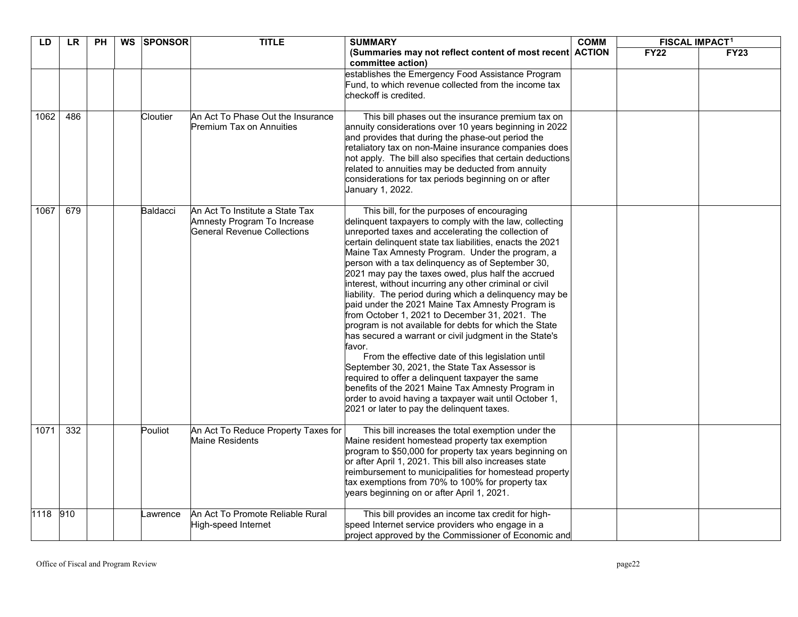| LD   | <b>LR</b> | <b>PH</b> | WS SPONSOR | <b>TITLE</b>                                                                                         | <b>SUMMARY</b>                                                                                                                                                                                                                                                                                                                                                                                                                                                                                                                                                                                                                                                                                                                                                                                                                                                                                                                                                                                                                                                           | <b>COMM</b> | <b>FISCAL IMPACT<sup>1</sup></b> |             |
|------|-----------|-----------|------------|------------------------------------------------------------------------------------------------------|--------------------------------------------------------------------------------------------------------------------------------------------------------------------------------------------------------------------------------------------------------------------------------------------------------------------------------------------------------------------------------------------------------------------------------------------------------------------------------------------------------------------------------------------------------------------------------------------------------------------------------------------------------------------------------------------------------------------------------------------------------------------------------------------------------------------------------------------------------------------------------------------------------------------------------------------------------------------------------------------------------------------------------------------------------------------------|-------------|----------------------------------|-------------|
|      |           |           |            |                                                                                                      | (Summaries may not reflect content of most recent ACTION<br>committee action)                                                                                                                                                                                                                                                                                                                                                                                                                                                                                                                                                                                                                                                                                                                                                                                                                                                                                                                                                                                            |             | <b>FY22</b>                      | <b>FY23</b> |
|      |           |           |            |                                                                                                      | establishes the Emergency Food Assistance Program<br>Fund, to which revenue collected from the income tax<br>checkoff is credited.                                                                                                                                                                                                                                                                                                                                                                                                                                                                                                                                                                                                                                                                                                                                                                                                                                                                                                                                       |             |                                  |             |
| 1062 | 486       |           | Cloutier   | An Act To Phase Out the Insurance<br>Premium Tax on Annuities                                        | This bill phases out the insurance premium tax on<br>annuity considerations over 10 years beginning in 2022<br>and provides that during the phase-out period the<br>retaliatory tax on non-Maine insurance companies does<br>not apply. The bill also specifies that certain deductions<br>related to annuities may be deducted from annuity<br>considerations for tax periods beginning on or after<br>January 1, 2022.                                                                                                                                                                                                                                                                                                                                                                                                                                                                                                                                                                                                                                                 |             |                                  |             |
| 1067 | 679       |           | Baldacci   | An Act To Institute a State Tax<br>Amnesty Program To Increase<br><b>General Revenue Collections</b> | This bill, for the purposes of encouraging<br>delinquent taxpayers to comply with the law, collecting<br>unreported taxes and accelerating the collection of<br>certain delinquent state tax liabilities, enacts the 2021<br>Maine Tax Amnesty Program. Under the program, a<br>person with a tax delinguency as of September 30,<br>2021 may pay the taxes owed, plus half the accrued<br>interest, without incurring any other criminal or civil<br>liability. The period during which a delinquency may be<br>paid under the 2021 Maine Tax Amnesty Program is<br>from October 1, 2021 to December 31, 2021. The<br>program is not available for debts for which the State<br>has secured a warrant or civil judgment in the State's<br>favor.<br>From the effective date of this legislation until<br>September 30, 2021, the State Tax Assessor is<br>required to offer a delinquent taxpayer the same<br>benefits of the 2021 Maine Tax Amnesty Program in<br>order to avoid having a taxpayer wait until October 1,<br>2021 or later to pay the delinquent taxes. |             |                                  |             |
| 1071 | 332       |           | Pouliot    | An Act To Reduce Property Taxes for<br>Maine Residents                                               | This bill increases the total exemption under the<br>Maine resident homestead property tax exemption<br>program to \$50,000 for property tax years beginning on<br>or after April 1, 2021. This bill also increases state<br>reimbursement to municipalities for homestead property<br>tax exemptions from 70% to 100% for property tax<br>years beginning on or after April 1, 2021.                                                                                                                                                                                                                                                                                                                                                                                                                                                                                                                                                                                                                                                                                    |             |                                  |             |
| 1118 | 910       |           | awrence    | An Act To Promote Reliable Rural<br>High-speed Internet                                              | This bill provides an income tax credit for high-<br>speed Internet service providers who engage in a<br>project approved by the Commissioner of Economic and                                                                                                                                                                                                                                                                                                                                                                                                                                                                                                                                                                                                                                                                                                                                                                                                                                                                                                            |             |                                  |             |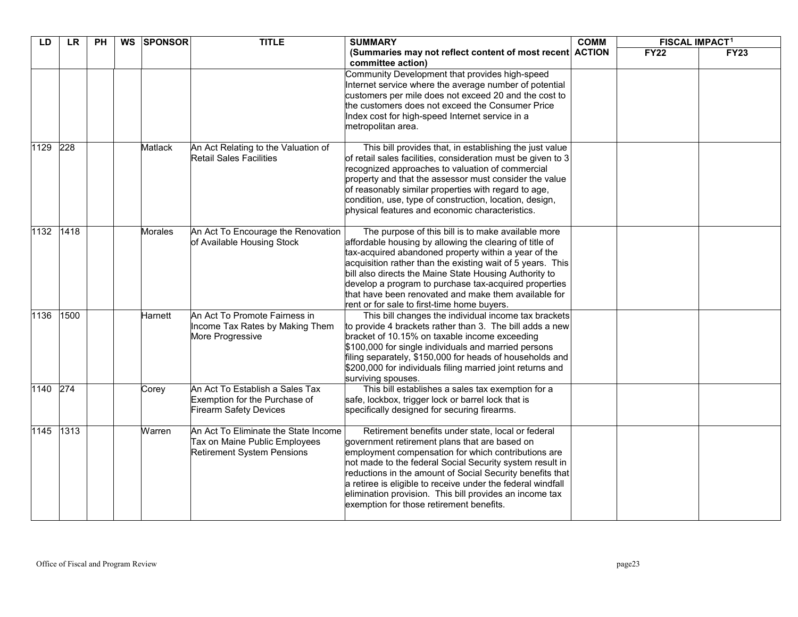| LD   | <b>LR</b> | <b>PH</b> | WS | <b>SPONSOR</b> | <b>TITLE</b>                                                                                               | <b>SUMMARY</b>                                                                                                                                                                                                                                                                                                                                                                                                                                                | <b>COMM</b> | <b>FISCAL IMPACT1</b> |             |
|------|-----------|-----------|----|----------------|------------------------------------------------------------------------------------------------------------|---------------------------------------------------------------------------------------------------------------------------------------------------------------------------------------------------------------------------------------------------------------------------------------------------------------------------------------------------------------------------------------------------------------------------------------------------------------|-------------|-----------------------|-------------|
|      |           |           |    |                |                                                                                                            | (Summaries may not reflect content of most recent ACTION<br>committee action)                                                                                                                                                                                                                                                                                                                                                                                 |             | <b>FY22</b>           | <b>FY23</b> |
|      |           |           |    |                |                                                                                                            | Community Development that provides high-speed<br>Internet service where the average number of potential<br>customers per mile does not exceed 20 and the cost to<br>the customers does not exceed the Consumer Price<br>Index cost for high-speed Internet service in a<br>metropolitan area.                                                                                                                                                                |             |                       |             |
| 1129 | 228       |           |    | Matlack        | An Act Relating to the Valuation of<br><b>Retail Sales Facilities</b>                                      | This bill provides that, in establishing the just value<br>of retail sales facilities, consideration must be given to 3<br>recognized approaches to valuation of commercial<br>property and that the assessor must consider the value<br>of reasonably similar properties with regard to age,<br>condition, use, type of construction, location, design,<br>physical features and economic characteristics.                                                   |             |                       |             |
| 1132 | 1418      |           |    | Morales        | An Act To Encourage the Renovation<br>of Available Housing Stock                                           | The purpose of this bill is to make available more<br>affordable housing by allowing the clearing of title of<br>tax-acquired abandoned property within a year of the<br>acquisition rather than the existing wait of 5 years. This<br>bill also directs the Maine State Housing Authority to<br>develop a program to purchase tax-acquired properties<br>that have been renovated and make them available for<br>rent or for sale to first-time home buyers. |             |                       |             |
| 1136 | 1500      |           |    | Harnett        | An Act To Promote Fairness in<br>Income Tax Rates by Making Them<br>More Progressive                       | This bill changes the individual income tax brackets<br>to provide 4 brackets rather than 3. The bill adds a new<br>bracket of 10.15% on taxable income exceeding<br>\$100,000 for single individuals and married persons<br>filing separately, \$150,000 for heads of households and<br>\$200,000 for individuals filing married joint returns and<br>surviving spouses.                                                                                     |             |                       |             |
| 1140 | 274       |           |    | Corey          | An Act To Establish a Sales Tax<br>Exemption for the Purchase of<br><b>Firearm Safety Devices</b>          | This bill establishes a sales tax exemption for a<br>safe, lockbox, trigger lock or barrel lock that is<br>specifically designed for securing firearms.                                                                                                                                                                                                                                                                                                       |             |                       |             |
| 1145 | 1313      |           |    | Warren         | An Act To Eliminate the State Income<br>Tax on Maine Public Employees<br><b>Retirement System Pensions</b> | Retirement benefits under state, local or federal<br>government retirement plans that are based on<br>employment compensation for which contributions are<br>not made to the federal Social Security system result in<br>reductions in the amount of Social Security benefits that<br>a retiree is eligible to receive under the federal windfall<br>elimination provision. This bill provides an income tax<br>exemption for those retirement benefits.      |             |                       |             |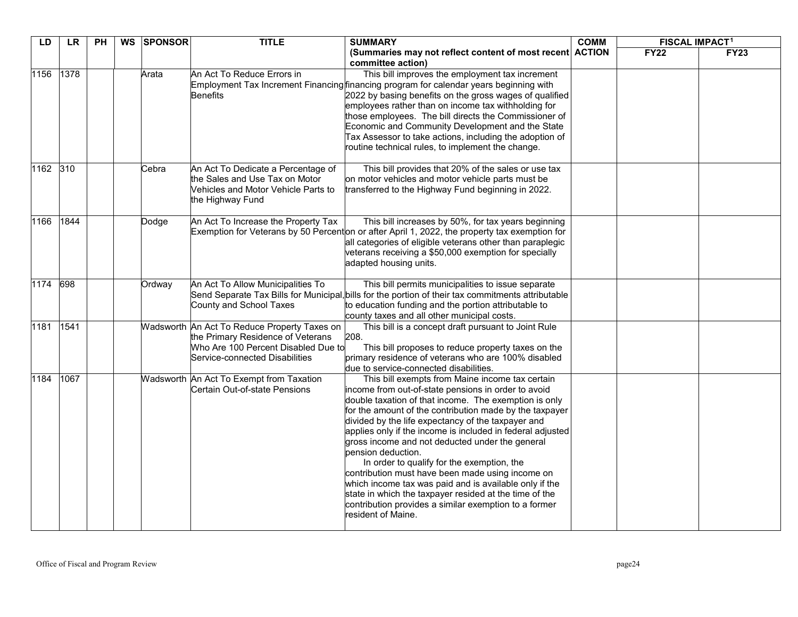| LD       | LR   | $\overline{P}$ | WS | <b>SPONSOR</b> | <b>TITLE</b>                                                                                                                                               | <b>SUMMARY</b>                                                                                                                                                                                                                                                                                                                                                                                                                                                                                                                                                                                                                                                                                                               | <b>COMM</b> | <b>FISCAL IMPACT<sup>1</sup></b> |             |
|----------|------|----------------|----|----------------|------------------------------------------------------------------------------------------------------------------------------------------------------------|------------------------------------------------------------------------------------------------------------------------------------------------------------------------------------------------------------------------------------------------------------------------------------------------------------------------------------------------------------------------------------------------------------------------------------------------------------------------------------------------------------------------------------------------------------------------------------------------------------------------------------------------------------------------------------------------------------------------------|-------------|----------------------------------|-------------|
|          |      |                |    |                |                                                                                                                                                            | (Summaries may not reflect content of most recent ACTION<br>committee action)                                                                                                                                                                                                                                                                                                                                                                                                                                                                                                                                                                                                                                                |             | <b>FY22</b>                      | <b>FY23</b> |
| 1156     | 1378 |                |    | Arata          | An Act To Reduce Errors in<br><b>Benefits</b>                                                                                                              | This bill improves the employment tax increment<br>Employment Tax Increment Financing financing program for calendar years beginning with<br>2022 by basing benefits on the gross wages of qualified<br>employees rather than on income tax withholding for<br>those employees. The bill directs the Commissioner of<br>Economic and Community Development and the State<br>Tax Assessor to take actions, including the adoption of<br>routine technical rules, to implement the change.                                                                                                                                                                                                                                     |             |                                  |             |
| 1162 310 |      |                |    | Cebra          | An Act To Dedicate a Percentage of<br>the Sales and Use Tax on Motor<br>Vehicles and Motor Vehicle Parts to<br>the Highway Fund                            | This bill provides that 20% of the sales or use tax<br>on motor vehicles and motor vehicle parts must be<br>transferred to the Highway Fund beginning in 2022.                                                                                                                                                                                                                                                                                                                                                                                                                                                                                                                                                               |             |                                  |             |
| 1166     | 1844 |                |    | Dodge          | An Act To Increase the Property Tax                                                                                                                        | This bill increases by 50%, for tax years beginning<br>Exemption for Veterans by 50 Percenton or after April 1, 2022, the property tax exemption for<br>all categories of eligible veterans other than paraplegic<br>veterans receiving a \$50,000 exemption for specially<br>adapted housing units.                                                                                                                                                                                                                                                                                                                                                                                                                         |             |                                  |             |
| 1174 698 |      |                |    | Ordway         | An Act To Allow Municipalities To<br>County and School Taxes                                                                                               | This bill permits municipalities to issue separate<br>Send Separate Tax Bills for Municipal, bills for the portion of their tax commitments attributable<br>to education funding and the portion attributable to<br>county taxes and all other municipal costs.                                                                                                                                                                                                                                                                                                                                                                                                                                                              |             |                                  |             |
| 1181     | 1541 |                |    |                | Wadsworth An Act To Reduce Property Taxes on<br>the Primary Residence of Veterans<br>Who Are 100 Percent Disabled Due to<br>Service-connected Disabilities | This bill is a concept draft pursuant to Joint Rule<br>208.<br>This bill proposes to reduce property taxes on the<br>primary residence of veterans who are 100% disabled<br>due to service-connected disabilities.                                                                                                                                                                                                                                                                                                                                                                                                                                                                                                           |             |                                  |             |
| 1184     | 1067 |                |    |                | Wadsworth An Act To Exempt from Taxation<br>Certain Out-of-state Pensions                                                                                  | This bill exempts from Maine income tax certain<br>income from out-of-state pensions in order to avoid<br>double taxation of that income. The exemption is only<br>for the amount of the contribution made by the taxpayer<br>divided by the life expectancy of the taxpayer and<br>applies only if the income is included in federal adjusted<br>gross income and not deducted under the general<br>pension deduction.<br>In order to qualify for the exemption, the<br>contribution must have been made using income on<br>which income tax was paid and is available only if the<br>state in which the taxpayer resided at the time of the<br>contribution provides a similar exemption to a former<br>resident of Maine. |             |                                  |             |